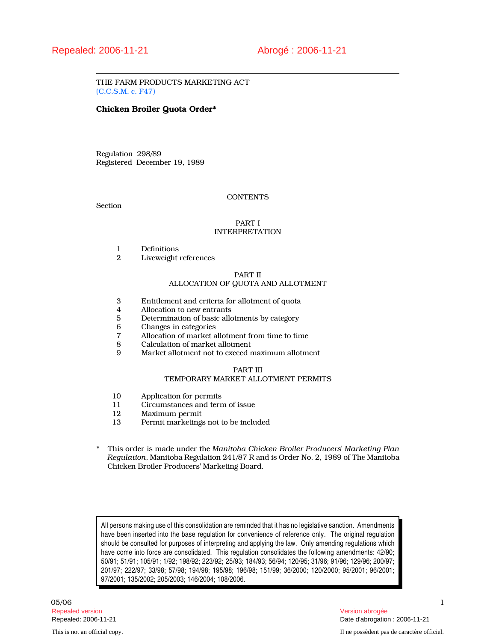THE FARM PRODUCTS MARKETING ACT (C.C.S.M. c. F47)

# Chicken Broiler Quota Order\*

Regulation 298/89 Registered December 19, 1989

# **CONTENTS**

Section

#### PART I INTERPRETATION

- 1 Definitions<br>2 Liveweight
- Liveweight references

#### PART II

# ALLOCATION OF QUOTA AND ALLOTMENT

- 3 Entitlement and criteria for allotment of quota
- 4 Allocation to new entrants<br>5 Determination of basic allo
- 5 Determination of basic allotments by category
- 6 Changes in categories
- 7 Allocation of market allotment from time to time
- Calculation of market allotment
- 9 Market allotment not to exceed maximum allotment

# PART III

# TEMPORARY MARKET ALLOTMENT PERMITS

- 10 Application for permits<br>11 Circumstances and tern
- 11 Circumstances and term of issue<br>12 Maximum permit
- Maximum permit
- 13 Permit marketings not to be included

This order is made under the Manitoba Chicken Broiler Producers' Marketing Plan Regulation, Manitoba Regulation 241/87 R and is Order No. 2, 1989 of The Manitoba Chicken Broiler Producers' Marketing Board.

All persons making use of this consolidation are reminded that it has no legislative sanction. Amendments have been inserted into the base regulation for convenience of reference only. The original regulation should be consulted for purposes of interpreting and applying the law. Only amending regulations which have come into force are consolidated. This regulation consolidates the following amendments: 42/90; 50/91; 51/91; 105/91; 1/92; 198/92; 223/92; 25/93; 184/93; 56/94; 120/95; 31/96; 91/96; 129/96; 200/97; 201/97; 222/97; 33/98; 57/98; 194/98; 195/98; 196/98; 151/99; 36/2000; 120/2000; 95/2001; 96/2001; 97/2001; 135/2002; 205/2003; 146/2004; 108/2006.

 $05/06$  and  $1$ Repealed version Version abrogée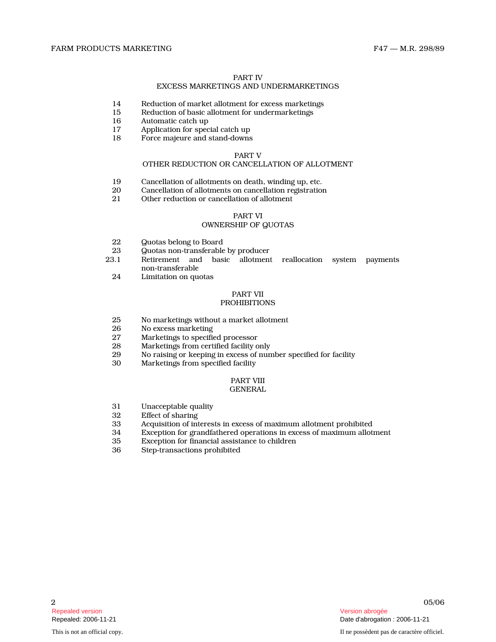#### PART IV

# EXCESS MARKETINGS AND UNDERMARKETINGS

- 14 Reduction of market allotment for excess marketings<br>15 Reduction of basic allotment for undermarketings
- 15 Reduction of basic allotment for undermarketings
- 16 Automatic catch up<br>17 Application for spec
- Application for special catch up
- 18 Force majeure and stand-downs

#### PART V

# OTHER REDUCTION OR CANCELLATION OF ALLOTMENT

- 19 Cancellation of allotments on death, winding up, etc.
- 20 Cancellation of allotments on cancellation registration
- Other reduction or cancellation of allotment

# PART VI

# OWNERSHIP OF QUOTAS

- 22 Quotas belong to Board<br>23 Quotas non-transferable
- 23 Guotas non-transferable by producer<br>23.1 Retirement and basic allotment
- Retirement and basic allotment reallocation system payments non-transferable
- 24 Limitation on quotas

# PART VII **PROHIBITIONS**

- 25 No marketings without a market allotment<br>26 No excess marketing
- 26 No excess marketing<br>27 Marketings to specific
- 27 Marketings to specified processor<br>28 Marketings from certified facility o
- 
- 28 Marketings from certified facility only<br>29 No raising or keeping in excess of nun 29 No raising or keeping in excess of number specified for facility
- Marketings from specified facility

# PART VIII

#### GENERAL

- 31 Unacceptable quality<br>32 Effect of sharing
- 32 Effect of sharing<br>33 Acquisition of int
- 33 Acquisition of interests in excess of maximum allotment prohibited
- 34 Exception for grandfathered operations in excess of maximum allotment
- 35 Exception for financial assistance to children
- Step-transactions prohibited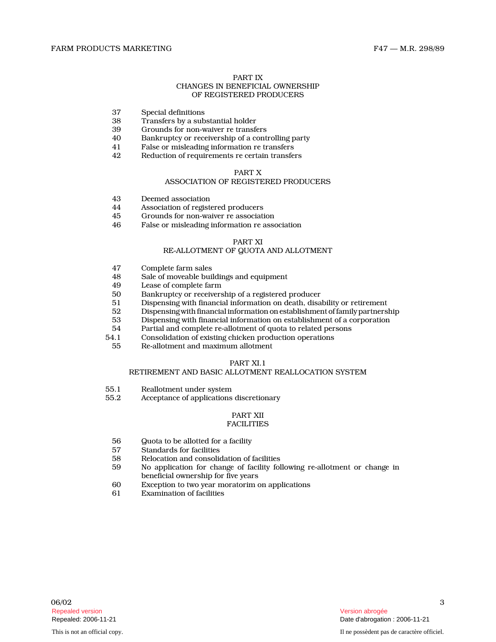## PART IX

# CHANGES IN BENEFICIAL OWNERSHIP OF REGISTERED PRODUCERS

- 37 Special definitions<br>38 Transfers by a sub
- 38 Transfers by a substantial holder<br>39 Grounds for non-waiver re transfe
- 39 Grounds for non-waiver re transfers<br>40 Bankruptcy or receivership of a cont
- 40 Bankruptcy or receivership of a controlling party<br>41 False or misleading information re transfers
- 41 False or misleading information re transfers<br>42 Reduction of requirements re certain transfe
- Reduction of requirements re certain transfers

#### PART X

#### ASSOCIATION OF REGISTERED PRODUCERS

- 43 Deemed association
- 44 Association of registered producers
- 45 Grounds for non-waiver re association<br>46 False or misleading information re asso
- 46 False or misleading information re association

# PART XI

# RE-ALLOTMENT OF QUOTA AND ALLOTMENT

- 47 Complete farm sales<br>48 Sale of moveable buil
- 48 Sale of moveable buildings and equipment<br>49 Lease of complete farm
- 49 Lease of complete farm<br>50 Bankruptcy or receivers
- 50 Bankruptcy or receivership of a registered producer<br>51 Dispensing with financial information on death, disa
- 51 Dispensing with financial information on death, disability or retirement
- 
- 52 Dispensing with financial information on establishment of family partnership 53 Dispensing with financial information on establishment of a corporation
- 
- 54 Partial and complete re-allotment of quota to related persons<br>54.1 Consolidation of existing chicken production operations 54.1 Consolidation of existing chicken production operations
	- 55 Re-allotment and maximum allotment

#### PART XI.1

## RETIREMENT AND BASIC ALLOTMENT REALLOCATION SYSTEM

- 55.1 Reallotment under system
- 55.2 Acceptance of applications discretionary

#### PART XII **FACILITIES**

- 56 Guota to be allotted for a facility<br>57 Standards for facilities
- 57 Standards for facilities<br>58 Relocation and consoli
- 58 Relocation and consolidation of facilities<br>59 No application for change of facility fol-
- No application for change of facility following re-allotment or change in beneficial ownership for five years
- 60 Exception to two year moratorim on applications<br>61 Examination of facilities
- Examination of facilities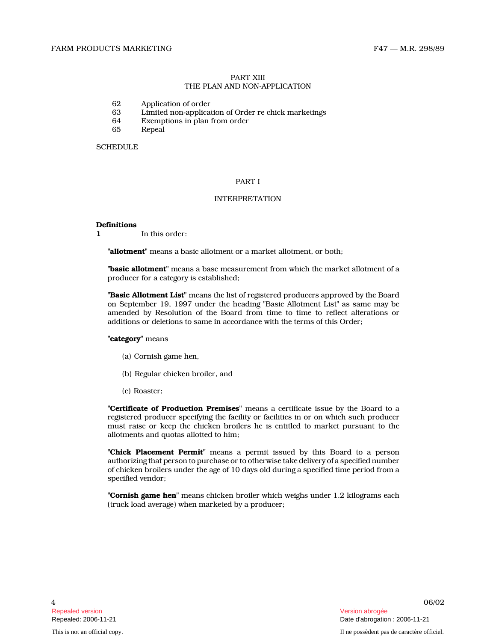# PART XIII THE PLAN AND NON-APPLICATION

- 62 Application of order
- 63 Limited non-application of Order re chick marketings
- 64 Exemptions in plan from order
- **Repeal**

**SCHEDULE** 

# PART I

# INTERPRETATION

# Definitions

1 In this order:

"allotment" means a basic allotment or a market allotment, or both:

"basic allotment" means a base measurement from which the market allotment of a producer for a category is established;

"Basic Allotment List" means the list of registered producers approved by the Board on September 19, 1997 under the heading "Basic Allotment List" as same may be amended by Resolution of the Board from time to time to reflect alterations or additions or deletions to same in accordance with the terms of this Order;

# "category" means

- (a) Cornish game hen,
- (b) Regular chicken broiler, and
- (c) Roaster;

"Certificate of Production Premises" means a certificate issue by the Board to a registered producer specifying the facility or facilities in or on which such producer must raise or keep the chicken broilers he is entitled to market pursuant to the allotments and quotas allotted to him;

"Chick Placement Permit" means a permit issued by this Board to a person authorizing that person to purchase or to otherwise take delivery of a specified number of chicken broilers under the age of 10 days old during a specified time period from a specified vendor;

"Cornish game hen" means chicken broiler which weighs under 1.2 kilograms each (truck load average) when marketed by a producer;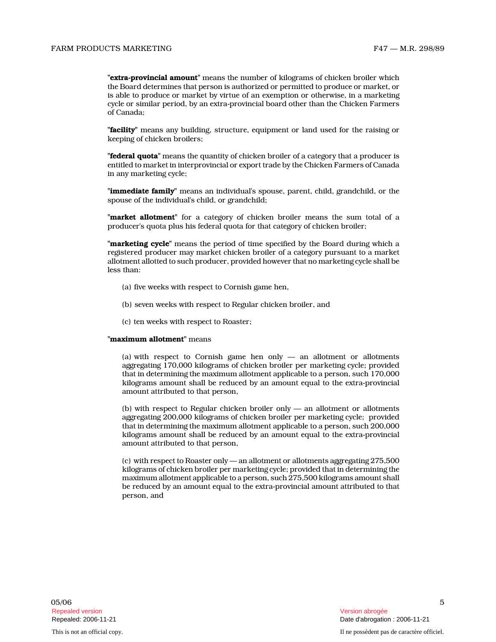"extra-provincial amount" means the number of kilograms of chicken broiler which the Board determines that person is authorized or permitted to produce or market, or is able to produce or market by virtue of an exemption or otherwise, in a marketing cycle or similar period, by an extra-provincial board other than the Chicken Farmers of Canada;

"**facility**" means any building, structure, equipment or land used for the raising or keeping of chicken broilers;

**"federal quota"** means the quantity of chicken broiler of a category that a producer is entitled to market in interprovincial or export trade by the Chicken Farmers of Canada in any marketing cycle;

"immediate family" means an individual's spouse, parent, child, grandchild, or the spouse of the individual's child, or grandchild;

"market allotment" for a category of chicken broiler means the sum total of a producer's quota plus his federal quota for that category of chicken broiler;

**"marketing cycle"** means the period of time specified by the Board during which a registered producer may market chicken broiler of a category pursuant to a market allotment allotted to such producer, provided however that no marketing cycle shall be less than:

- (a) five weeks with respect to Cornish game hen,
- (b) seven weeks with respect to Regular chicken broiler, and
- (c) ten weeks with respect to Roaster;

# "maximum allotment" means

(a) with respect to Cornish game hen only — an allotment or allotments aggregating 170,000 kilograms of chicken broiler per marketing cycle; provided that in determining the maximum allotment applicable to a person, such 170,000 kilograms amount shall be reduced by an amount equal to the extra-provincial amount attributed to that person,

(b) with respect to Regular chicken broiler only — an allotment or allotments aggregating 200,000 kilograms of chicken broiler per marketing cycle; provided that in determining the maximum allotment applicable to a person, such 200,000 kilograms amount shall be reduced by an amount equal to the extra-provincial amount attributed to that person,

(c) with respect to Roaster only — an allotment or allotments aggregating 275,500 kilograms of chicken broiler per marketing cycle; provided that in determining the maximum allotment applicable to a person, such 275,500 kilograms amount shall be reduced by an amount equal to the extra-provincial amount attributed to that person, and

05/06 Repealed version Version abrogée 5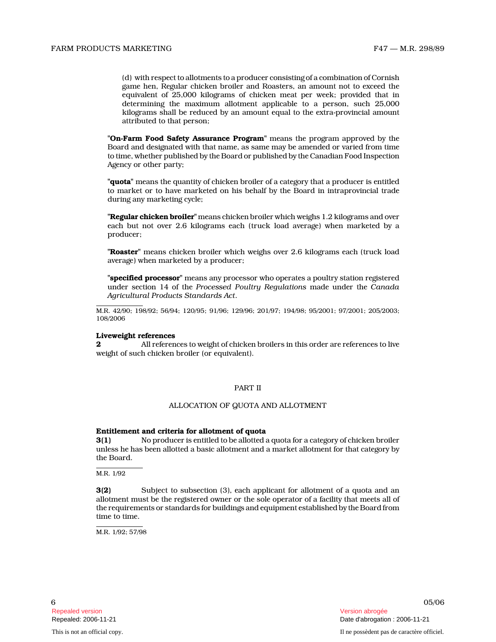(d) with respect to allotments to a producer consisting of a combination of Cornish game hen, Regular chicken broiler and Roasters, an amount not to exceed the equivalent of 25,000 kilograms of chicken meat per week; provided that in determining the maximum allotment applicable to a person, such 25,000 kilograms shall be reduced by an amount equal to the extra-provincial amount attributed to that person;

"On-Farm Food Safety Assurance Program" means the program approved by the Board and designated with that name, as same may be amended or varied from time to time, whether published by the Board or published by the Canadian Food Inspection Agency or other party;

"quota" means the quantity of chicken broiler of a category that a producer is entitled to market or to have marketed on his behalf by the Board in intraprovincial trade during any marketing cycle;

"Regular chicken broiler" means chicken broiler which weighs 1.2 kilograms and over each but not over 2.6 kilograms each (truck load average) when marketed by a producer;

"Roaster" means chicken broiler which weighs over 2.6 kilograms each (truck load average) when marketed by a producer;

"specified processor" means any processor who operates a poultry station registered under section 14 of the Processed Poultry Regulations made under the Canada Agricultural Products Standards Act .

M.R. 42/90; 198/92; 56/94; 120/95; 91/96; 129/96; 201/97; 194/98; 95/2001; 97/2001; 205/2003; 108/2006

#### Liveweight references

2 All references to weight of chicken broilers in this order are references to live weight of such chicken broiler (or equivalent).

#### PART II

# ALLOCATION OF QUOTA AND ALLOTMENT

#### Entitlement and criteria for allotment of quota

3(1) No producer is entitled to be allotted a quota for a category of chicken broiler unless he has been allotted a basic allotment and a market allotment for that category by the Board.

M.R. 1/92

3(2) Subject to subsection (3), each applicant for allotment of a quota and an allotment must be the registered owner or the sole operator of a facility that meets all of the requirements or standards for buildings and equipment established by the Board from time to time.

M.R. 1/92; 57/98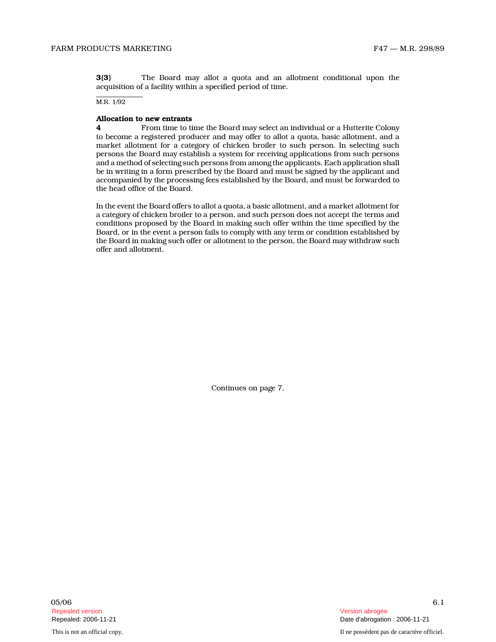3(3) The Board may allot a quota and an allotment conditional upon the acquisition of a facility within a specified period of time.

M.R. 1/92

# Allocation to new entrants

4 From time to time the Board may select an individual or a Hutterite Colony to become a registered producer and may offer to allot a quota, basic allotment, and a market allotment for a category of chicken broiler to such person. In selecting such persons the Board may establish a system for receiving applications from such persons and a method of selecting such persons from among the applicants. Each application shall be in writing in a form prescribed by the Board and must be signed by the applicant and accompanied by the processing fees established by the Board, and must be forwarded to the head office of the Board.

In the event the Board offers to allot a quota, a basic allotment, and a market allotment for a category of chicken broiler to a person, and such person does not accept the terms and conditions proposed by the Board in making such offer within the time specified by the Board, or in the event a person fails to comply with any term or condition established by the Board in making such offer or allotment to the person, the Board may withdraw such offer and allotment.

Continues on page 7.

 $05/06$  6.1 Repealed version Version abrogée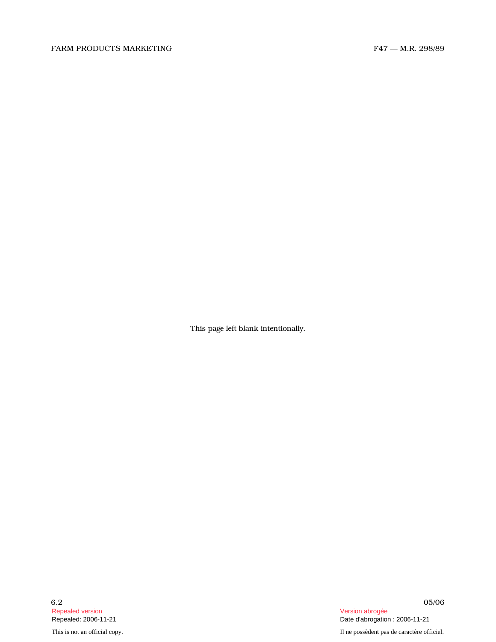This page left blank intentionally.

6.2  $05/06$ Repealed version abrogée en an anti-service d'altres de la commune de la commune de la version abrogée d'abrogation de la version abrogée d'abrogation de la version abrogée d'abrogation de la version abrogée d'abrogation d

Date d'abrogation : 2006-11-21 This is not an official copy. Il ne possèdent pas de caractère officiel.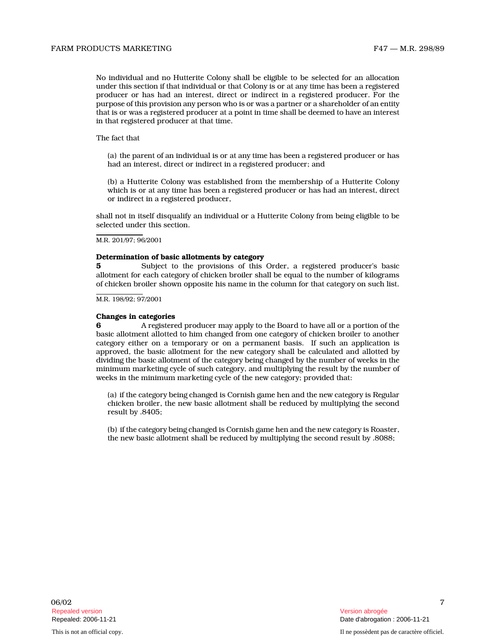No individual and no Hutterite Colony shall be eligible to be selected for an allocation under this section if that individual or that Colony is or at any time has been a registered producer or has had an interest, direct or indirect in a registered producer. For the purpose of this provision any person who is or was a partner or a shareholder of an entity that is or was a registered producer at a point in time shall be deemed to have an interest in that registered producer at that time.

The fact that

(a) the parent of an individual is or at any time has been a registered producer or has had an interest, direct or indirect in a registered producer; and

(b) a Hutterite Colony was established from the membership of a Hutterite Colony which is or at any time has been a registered producer or has had an interest, direct or indirect in a registered producer,

shall not in itself disqualify an individual or a Hutterite Colony from being eligible to be selected under this section.

M.R. 201/97; 96/2001

#### Determination of basic allotments by category

5 Subject to the provisions of this Order, a registered producer's basic allotment for each category of chicken broiler shall be equal to the number of kilograms of chicken broiler shown opposite his name in the column for that category on such list.

M.R. 198/92; 97/2001

#### Changes in categories

6 A registered producer may apply to the Board to have all or a portion of the basic allotment allotted to him changed from one category of chicken broiler to another category either on a temporary or on a permanent basis. If such an application is approved, the basic allotment for the new category shall be calculated and allotted by dividing the basic allotment of the category being changed by the number of weeks in the minimum marketing cycle of such category, and multiplying the result by the number of weeks in the minimum marketing cycle of the new category; provided that:

(a) if the category being changed is Cornish game hen and the new category is Regular chicken broiler, the new basic allotment shall be reduced by multiplying the second result by .8405;

(b) if the category being changed is Cornish game hen and the new category is Roaster, the new basic allotment shall be reduced by multiplying the second result by .8088;

06/02 Repealed version abrogée et al. Alian abrogée et al. Alian abrogée et al. Alian abrogée et al. Alian abrogée e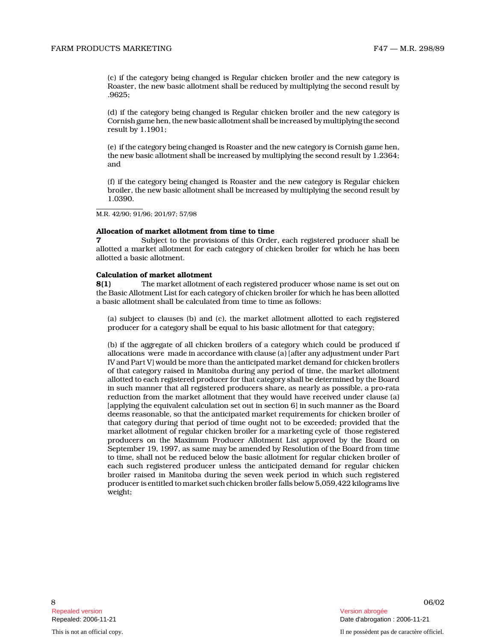(c) if the category being changed is Regular chicken broiler and the new category is Roaster, the new basic allotment shall be reduced by multiplying the second result by .9625;

(d) if the category being changed is Regular chicken broiler and the new category is Cornish game hen, the new basic allotment shall be increased by multiplying the second result by  $1.1901$ ;

(e) if the category being changed is Roaster and the new category is Cornish game hen, the new basic allotment shall be increased by multiplying the second result by 1.2364; and

(f) if the category being changed is Roaster and the new category is Regular chicken broiler, the new basic allotment shall be increased by multiplying the second result by 1.0390.

M.R. 42/90; 91/96; 201/97; 57/98

# Allocation of market allotment from time to time

Subject to the provisions of this Order, each registered producer shall be allotted a market allotment for each category of chicken broiler for which he has been allotted a basic allotment.

#### Calculation of market allotment

8(1) The market allotment of each registered producer whose name is set out on the Basic Allotment List for each category of chicken broiler for which he has been allotted a basic allotment shall be calculated from time to time as follows:

(a) subject to clauses (b) and (c), the market allotment allotted to each registered producer for a category shall be equal to his basic allotment for that category;

(b) if the aggregate of all chicken broilers of a category which could be produced if allocations were made in accordance with clause (a) [after any adjustment under Part IV and Part V] would be more than the anticipated market demand for chicken broilers of that category raised in Manitoba during any period of time, the market allotment allotted to each registered producer for that category shall be determined by the Board in such manner that all registered producers share, as nearly as possible, a pro-rata reduction from the market allotment that they would have received under clause (a) [applying the equivalent calculation set out in section 6] in such manner as the Board deems reasonable, so that the anticipated market requirements for chicken broiler of that category during that period of time ought not to be exceeded; provided that the market allotment of regular chicken broiler for a marketing cycle of those registered producers on the Maximum Producer Allotment List approved by the Board on September 19, 1997, as same may be amended by Resolution of the Board from time to time, shall not be reduced below the basic allotment for regular chicken broiler of each such registered producer unless the anticipated demand for regular chicken broiler raised in Manitoba during the seven week period in which such registered producer is entitled to market such chicken broiler falls below 5,059,422 kilograms live weight;

This is not an official copy. Il ne possèdent pas de caractère officiel.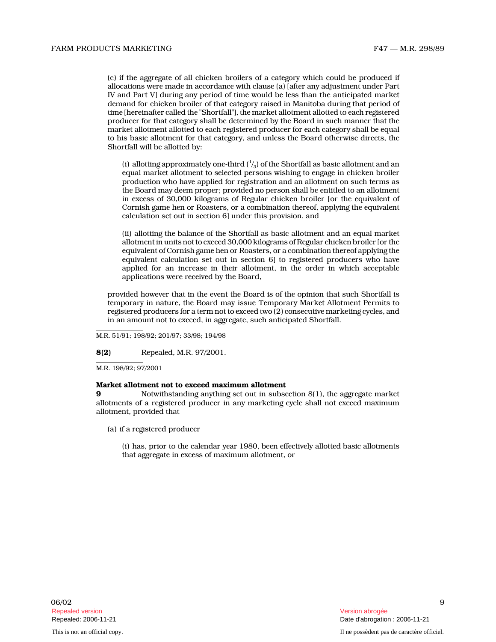(c) if the aggregate of all chicken broilers of a category which could be produced if allocations were made in accordance with clause (a) [after any adjustment under Part IV and Part V] during any period of time would be less than the anticipated market demand for chicken broiler of that category raised in Manitoba during that period of time [hereinafter called the "Shortfall"], the market allotment allotted to each registered producer for that category shall be determined by the Board in such manner that the market allotment allotted to each registered producer for each category shall be equal to his basic allotment for that category, and unless the Board otherwise directs, the Shortfall will be allotted by:

(i) allotting approximately one-third ( $\frac{1}{3}$ ) of the Shortfall as basic allotment and an equal market allotment to selected persons wishing to engage in chicken broiler production who have applied for registration and an allotment on such terms as the Board may deem proper; provided no person shall be entitled to an allotment in excess of 30,000 kilograms of Regular chicken broiler [or the equivalent of Cornish game hen or Roasters, or a combination thereof, applying the equivalent calculation set out in section 6] under this provision, and

(ii) allotting the balance of the Shortfall as basic allotment and an equal market allotment in units not to exceed 30,000 kilograms of Regular chicken broiler [or the equivalent of Cornish game hen or Roasters, or a combination thereof applying the equivalent calculation set out in section 6] to registered producers who have applied for an increase in their allotment, in the order in which acceptable applications were received by the Board,

provided however that in the event the Board is of the opinion that such Shortfall is temporary in nature, the Board may issue Temporary Market Allotment Permits to registered producers for a term not to exceed two (2) consecutive marketing cycles, and in an amount not to exceed, in aggregate, such anticipated Shortfall.

M.R. 51/91; 198/92; 201/97; 33/98; 194/98

8(2) Repealed, M.R. 97/2001.

M.R. 198/92; 97/2001

#### Market allotment not to exceed maximum allotment

9 Notwithstanding anything set out in subsection 8(1), the aggregate market allotments of a registered producer in any marketing cycle shall not exceed maximum allotment, provided that

(a) if a registered producer

(i) has, prior to the calendar year 1980, been effectively allotted basic allotments that aggregate in excess of maximum allotment, or

This is not an official copy. Il ne possèdent pas de caractère officiel.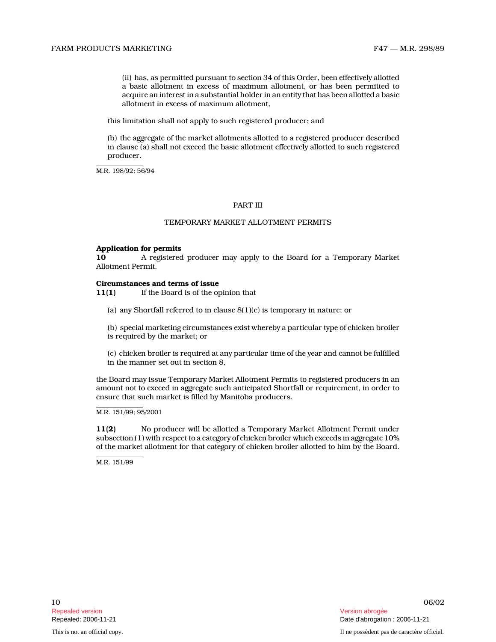(ii) has, as permitted pursuant to section 34 of this Order, been effectively allotted a basic allotment in excess of maximum allotment, or has been permitted to acquire an interest in a substantial holder in an entity that has been allotted a basic allotment in excess of maximum allotment,

this limitation shall not apply to such registered producer; and

(b) the aggregate of the market allotments allotted to a registered producer described in clause (a) shall not exceed the basic allotment effectively allotted to such registered producer.

M.R. 198/92; 56/94

# PART III

# TEMPORARY MARKET ALLOTMENT PERMITS

# Application for permits

10 A registered producer may apply to the Board for a Temporary Market Allotment Permit.

#### Circumstances and terms of issue

11(1) If the Board is of the opinion that

(a) any Shortfall referred to in clause  $8(1)(c)$  is temporary in nature; or

(b) special marketing circumstances exist whereby a particular type of chicken broiler is required by the market; or

(c) chicken broiler is required at any particular time of the year and cannot be fulfilled in the manner set out in section 8,

the Board may issue Temporary Market Allotment Permits to registered producers in an amount not to exceed in aggregate such anticipated Shortfall or requirement, in order to ensure that such market is filled by Manitoba producers.

## M.R. 151/99; 95/2001

11(2) No producer will be allotted a Temporary Market Allotment Permit under subsection (1) with respect to a category of chicken broiler which exceeds in aggregate 10% of the market allotment for that category of chicken broiler allotted to him by the Board.

M.R. 151/99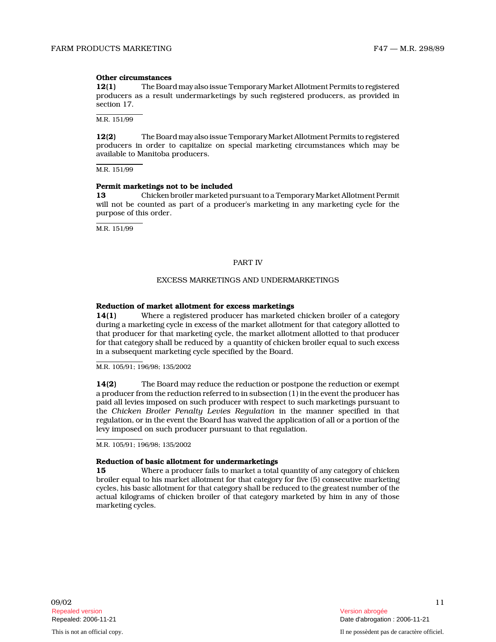#### Other circumstances

12(1) The Board may also issue Temporary Market Allotment Permits to registered producers as a result undermarketings by such registered producers, as provided in section 17.

M.R. 151/99

12(2) The Board may also issue Temporary Market Allotment Permits to registered producers in order to capitalize on special marketing circumstances which may be available to Manitoba producers.

M.R. 151/99

## Permit marketings not to be included

13 Chicken broiler marketed pursuant to a Temporary Market Allotment Permit will not be counted as part of a producer's marketing in any marketing cycle for the purpose of this order.

M.R. 151/99

#### PART IV

#### EXCESS MARKETINGS AND UNDERMARKETINGS

## Reduction of market allotment for excess marketings

14(1) Where a registered producer has marketed chicken broiler of a category during a marketing cycle in excess of the market allotment for that category allotted to that producer for that marketing cycle, the market allotment allotted to that producer for that category shall be reduced by a quantity of chicken broiler equal to such excess in a subsequent marketing cycle specified by the Board.

M.R. 105/91; 196/98; 135/2002

14(2) The Board may reduce the reduction or postpone the reduction or exempt a producer from the reduction referred to in subsection (1) in the event the producer has paid all levies imposed on such producer with respect to such marketings pursuant to the Chicken Broiler Penalty Levies Regulation in the manner specified in that regulation, or in the event the Board has waived the application of all or a portion of the levy imposed on such producer pursuant to that regulation.

M.R. 105/91; 196/98; 135/2002

#### Reduction of basic allotment for undermarketings

15 Where a producer fails to market a total quantity of any category of chicken broiler equal to his market allotment for that category for five (5) consecutive marketing cycles, his basic allotment for that category shall be reduced to the greatest number of the actual kilograms of chicken broiler of that category marketed by him in any of those marketing cycles.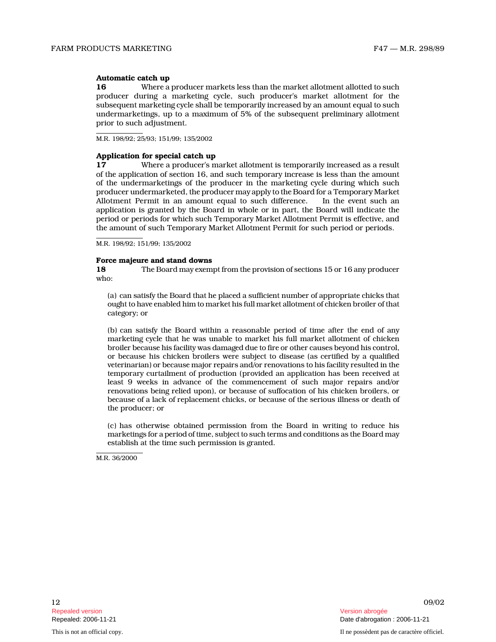# Automatic catch up

**16** Where a producer markets less than the market allotment allotted to such producer during a marketing cycle, such producer's market allotment for the subsequent marketing cycle shall be temporarily increased by an amount equal to such undermarketings, up to a maximum of 5% of the subsequent preliminary allotment prior to such adjustment.

M.R. 198/92; 25/93; 151/99; 135/2002

# Application for special catch up

17 Where a producer's market allotment is temporarily increased as a result of the application of section 16, and such temporary increase is less than the amount of the undermarketings of the producer in the marketing cycle during which such producer undermarketed, the producer may apply to the Board for a Temporary Market Allotment Permit in an amount equal to such difference. In the event such an application is granted by the Board in whole or in part, the Board will indicate the period or periods for which such Temporary Market Allotment Permit is effective, and the amount of such Temporary Market Allotment Permit for such period or periods.

M.R. 198/92; 151/99; 135/2002

# Force majeure and stand downs

18 The Board may exempt from the provision of sections 15 or 16 any producer who:

(a) can satisfy the Board that he placed a sufficient number of appropriate chicks that ought to have enabled him to market his full market allotment of chicken broiler of that category; or

(b) can satisfy the Board within a reasonable period of time after the end of any marketing cycle that he was unable to market his full market allotment of chicken broiler because his facility was damaged due to fire or other causes beyond his control, or because his chicken broilers were subject to disease (as certified by a qualified veterinarian) or because major repairs and/or renovations to his facility resulted in the temporary curtailment of production (provided an application has been received at least 9 weeks in advance of the commencement of such major repairs and/or renovations being relied upon), or because of suffocation of his chicken broilers, or because of a lack of replacement chicks, or because of the serious illness or death of the producer; or

(c) has otherwise obtained permission from the Board in writing to reduce his marketings for a period of time, subject to such terms and conditions as the Board may establish at the time such permission is granted.

M.R. 36/2000

This is not an official copy. Il ne possèdent pas de caractère officiel.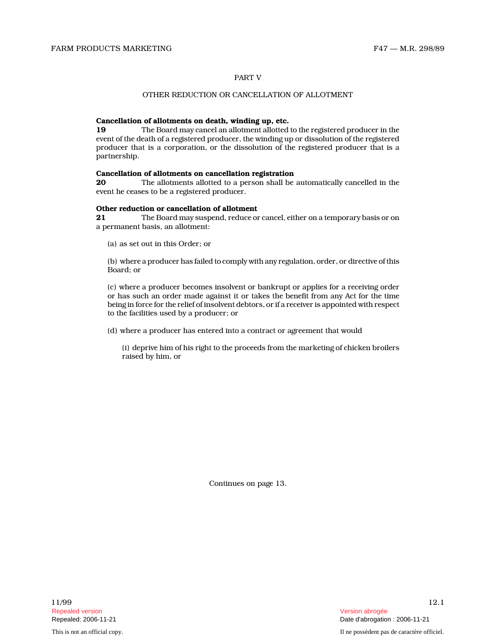# PART V

# OTHER REDUCTION OR CANCELLATION OF ALLOTMENT

# Cancellation of allotments on death, winding up, etc.

19 The Board may cancel an allotment allotted to the registered producer in the event of the death of a registered producer, the winding up or dissolution of the registered producer that is a corporation, or the dissolution of the registered producer that is a partnership.

# Cancellation of allotments on cancellation registration

20 The allotments allotted to a person shall be automatically cancelled in the event he ceases to be a registered producer.

# Other reduction or cancellation of allotment

21 The Board may suspend, reduce or cancel, either on a temporary basis or on a permanent basis, an allotment:

(a) as set out in this Order; or

(b) where a producer has failed to comply with any regulation, order, or directive of this Board; or

(c) where a producer becomes insolvent or bankrupt or applies for a receiving order or has such an order made against it or takes the benefit from any Act for the time being in force for the relief of insolvent debtors, or if a receiver is appointed with respect to the facilities used by a producer; or

(d) where a producer has entered into a contract or agreement that would

(i) deprive him of his right to the proceeds from the marketing of chicken broilers raised by him, or

Continues on page 13.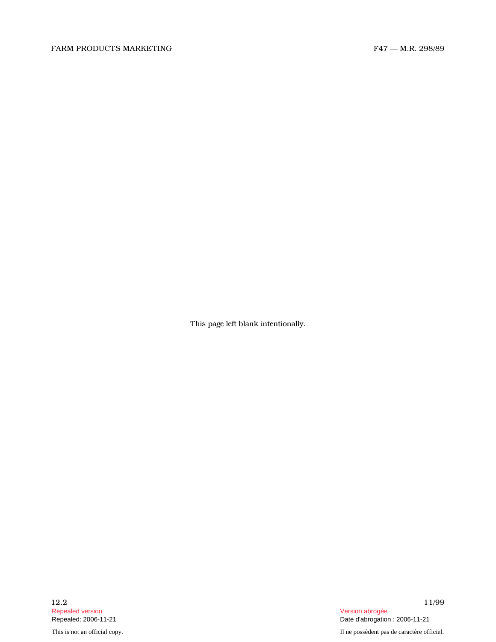This page left blank intentionally.

Repealed version abrogée en an anti-service d'altres de la commune de la commune de la version abrogée d'abrogation de la version abrogée d'abrogation de la version abrogée d'abrogation de la version abrogée d'abrogation d

12.2 11/99 Date d'abrogation : 2006-11-21 This is not an official copy. Il ne possèdent pas de caractère officiel.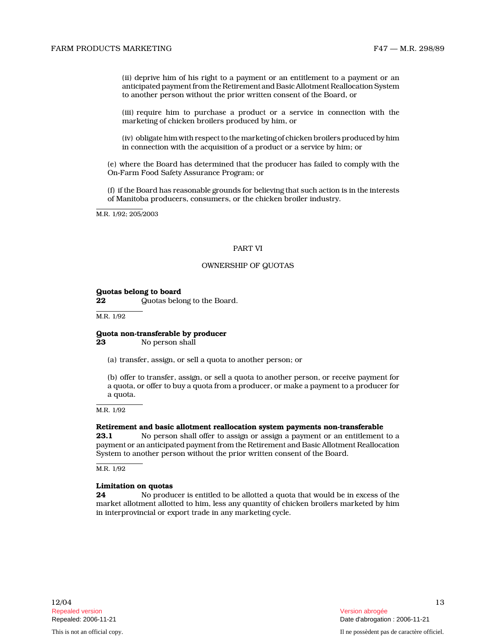(ii) deprive him of his right to a payment or an entitlement to a payment or an anticipated payment from the Retirement and Basic Allotment Reallocation System to another person without the prior written consent of the Board, or

(iii) require him to purchase a product or a service in connection with the marketing of chicken broilers produced by him, or

(iv) obligate him with respect to the marketing of chicken broilers produced by him in connection with the acquisition of a product or a service by him; or

(e) where the Board has determined that the producer has failed to comply with the On-Farm Food Safety Assurance Program; or

(f) if the Board has reasonable grounds for believing that such action is in the interests of Manitoba producers, consumers, or the chicken broiler industry.

M.R. 1/92; 205/2003

#### PART VI

#### OWNERSHIP OF QUOTAS

#### Quotas belong to board

22 **Quotas belong to the Board.** 

M.R. 1/92

# Quota non-transferable by producer

23 No person shall

(a) transfer, assign, or sell a quota to another person; or

(b) offer to transfer, assign, or sell a quota to another person, or receive payment for a quota, or offer to buy a quota from a producer, or make a payment to a producer for a quota.

M.R. 1/92

#### Retirement and basic allotment reallocation system payments non-transferable

23.1 No person shall offer to assign or assign a payment or an entitlement to a payment or an anticipated payment from the Retirement and Basic Allotment Reallocation System to another person without the prior written consent of the Board.

M.R. 1/92

#### Limitation on quotas

24 No producer is entitled to be allotted a quota that would be in excess of the market allotment allotted to him, less any quantity of chicken broilers marketed by him in interprovincial or export trade in any marketing cycle.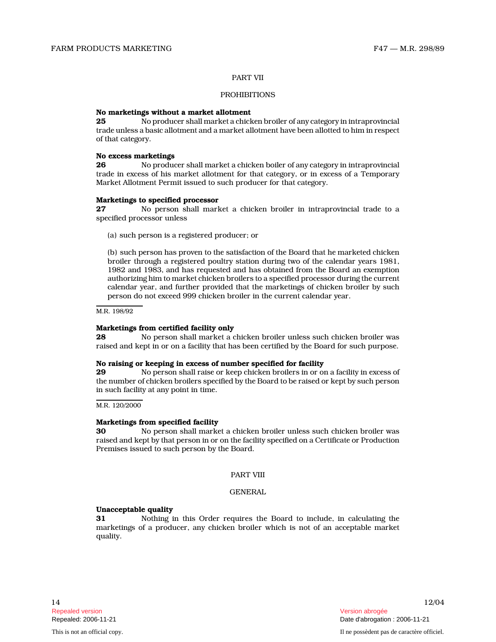# PART VII

# PROHIBITIONS

# No marketings without a market allotment

25 No producer shall market a chicken broiler of any category in intraprovincial trade unless a basic allotment and a market allotment have been allotted to him in respect of that category.

# No excess marketings

26 No producer shall market a chicken boiler of any category in intraprovincial trade in excess of his market allotment for that category, or in excess of a Temporary Market Allotment Permit issued to such producer for that category.

# Marketings to specified processor

27 No person shall market a chicken broiler in intraprovincial trade to a specified processor unless

(a) such person is a registered producer; or

(b) such person has proven to the satisfaction of the Board that he marketed chicken broiler through a registered poultry station during two of the calendar years 1981, 1982 and 1983, and has requested and has obtained from the Board an exemption authorizing him to market chicken broilers to a specified processor during the current calendar year, and further provided that the marketings of chicken broiler by such person do not exceed 999 chicken broiler in the current calendar year.

M.R. 198/92

# Marketings from certified facility only

28 No person shall market a chicken broiler unless such chicken broiler was raised and kept in or on a facility that has been certified by the Board for such purpose.

# No raising or keeping in excess of number specified for facility

29 No person shall raise or keep chicken broilers in or on a facility in excess of the number of chicken broilers specified by the Board to be raised or kept by such person in such facility at any point in time.

M.R. 120/2000

# Marketings from specified facility

30 No person shall market a chicken broiler unless such chicken broiler was raised and kept by that person in or on the facility specified on a Certificate or Production Premises issued to such person by the Board.

PART VIII

#### GENERAL

# Unacceptable quality

31 Nothing in this Order requires the Board to include, in calculating the marketings of a producer, any chicken broiler which is not of an acceptable market quality.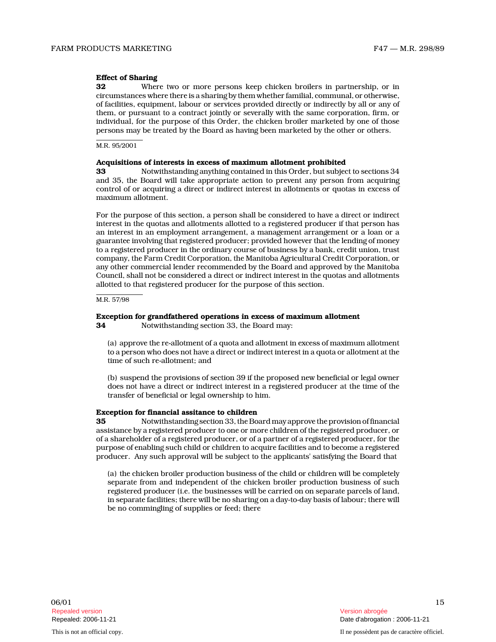# Effect of Sharing

32 Where two or more persons keep chicken broilers in partnership, or in circumstances where there is a sharing by them whether familial, communal, or otherwise, of facilities, equipment, labour or services provided directly or indirectly by all or any of them, or pursuant to a contract jointly or severally with the same corporation, firm, or individual, for the purpose of this Order, the chicken broiler marketed by one of those persons may be treated by the Board as having been marketed by the other or others.

M.R. 95/2001

# Acquisitions of interests in excess of maximum allotment prohibited

33 Notwithstanding anything contained in this Order, but subject to sections 34 and 35, the Board will take appropriate action to prevent any person from acquiring control of or acquiring a direct or indirect interest in allotments or quotas in excess of maximum allotment.

For the purpose of this section, a person shall be considered to have a direct or indirect interest in the quotas and allotments allotted to a registered producer if that person has an interest in an employment arrangement, a management arrangement or a loan or a guarantee involving that registered producer; provided however that the lending of money to a registered producer in the ordinary course of business by a bank, credit union, trust company, the Farm Credit Corporation, the Manitoba Agricultural Credit Corporation, or any other commercial lender recommended by the Board and approved by the Manitoba Council, shall not be considered a direct or indirect interest in the quotas and allotments allotted to that registered producer for the purpose of this section.

#### M.R. 57/98

# Exception for grandfathered operations in excess of maximum allotment

34 Notwithstanding section 33, the Board may:

(a) approve the re-allotment of a quota and allotment in excess of maximum allotment to a person who does not have a direct or indirect interest in a quota or allotment at the time of such re-allotment; and

(b) suspend the provisions of section 39 if the proposed new beneficial or legal owner does not have a direct or indirect interest in a registered producer at the time of the transfer of beneficial or legal ownership to him.

#### Exception for financial assitance to children

35 Notwithstanding section 33, the Board may approve the provision of financial assistance by a registered producer to one or more children of the registered producer, or of a shareholder of a registered producer, or of a partner of a registered producer, for the purpose of enabling such child or children to acquire facilities and to become a registered producer. Any such approval will be subject to the applicants' satisfying the Board that

(a) the chicken broiler production business of the child or children will be completely separate from and independent of the chicken broiler production business of such registered producer (i.e. the businesses will be carried on on separate parcels of land, in separate facilities; there will be no sharing on a day-to-day basis of labour; there will be no commingling of supplies or feed; there

 $06/01$  and  $15$ Repealed version Version abrogée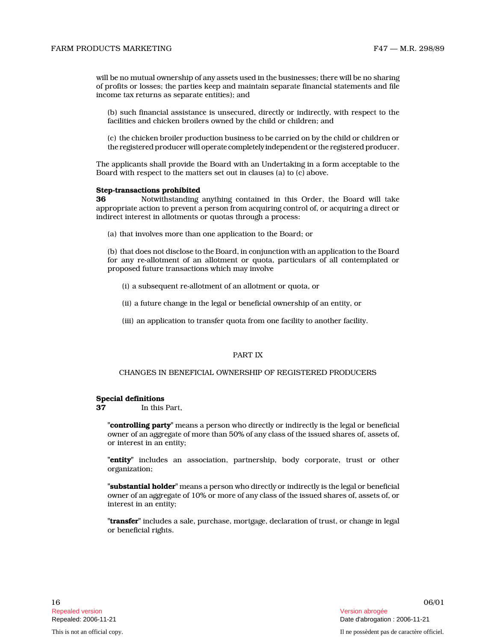will be no mutual ownership of any assets used in the businesses; there will be no sharing of profits or losses; the parties keep and maintain separate financial statements and file income tax returns as separate entities); and

(b) such financial assistance is unsecured, directly or indirectly, with respect to the facilities and chicken broilers owned by the child or children; and

(c) the chicken broiler production business to be carried on by the child or children or the registered producer will operate completely independent or the registered producer.

The applicants shall provide the Board with an Undertaking in a form acceptable to the Board with respect to the matters set out in clauses (a) to (c) above.

#### Step-transactions prohibited

36 Notwithstanding anything contained in this Order, the Board will take appropriate action to prevent a person from acquiring control of, or acquiring a direct or indirect interest in allotments or quotas through a process:

(a) that involves more than one application to the Board; or

(b) that does not disclose to the Board, in conjunction with an application to the Board for any re-allotment of an allotment or quota, particulars of all contemplated or proposed future transactions which may involve

- (i) a subsequent re-allotment of an allotment or quota, or
- (ii) a future change in the legal or beneficial ownership of an entity, or
- (iii) an application to transfer quota from one facility to another facility.

# PART IX

#### CHANGES IN BENEFICIAL OWNERSHIP OF REGISTERED PRODUCERS

#### Special definitions

37 In this Part,

"**controlling party**" means a person who directly or indirectly is the legal or beneficial owner of an aggregate of more than 50% of any class of the issued shares of, assets of, or interest in an entity;

"entity" includes an association, partnership, body corporate, trust or other organization;

"substantial holder" means a person who directly or indirectly is the legal or beneficial owner of an aggregate of 10% or more of any class of the issued shares of, assets of, or interest in an entity;

"transfer" includes a sale, purchase, mortgage, declaration of trust, or change in legal or beneficial rights.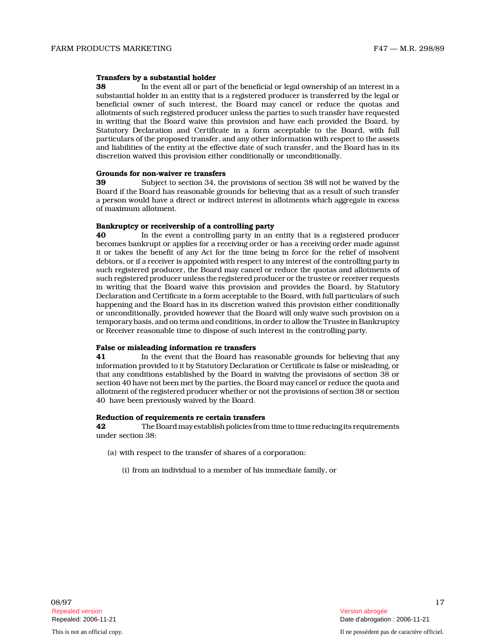#### Transfers by a substantial holder

38 In the event all or part of the beneficial or legal ownership of an interest in a substantial holder in an entity that is a registered producer is transferred by the legal or beneficial owner of such interest, the Board may cancel or reduce the quotas and allotments of such registered producer unless the parties to such transfer have requested in writing that the Board waive this provision and have each provided the Board, by Statutory Declaration and Certificate in a form acceptable to the Board, with full particulars of the proposed transfer, and any other information with respect to the assets and liabilities of the entity at the effective date of such transfer, and the Board has in its discretion waived this provision either conditionally or unconditionally.

#### Grounds for non-waiver re transfers

39 Subject to section 34, the provisions of section 38 will not be waived by the Board if the Board has reasonable grounds for believing that as a result of such transfer a person would have a direct or indirect interest in allotments which aggregate in excess of maximum allotment.

## Bankruptcy or receivership of a controlling party

40 In the event a controlling party in an entity that is a registered producer becomes bankrupt or applies for a receiving order or has a receiving order made against it or takes the benefit of any Act for the time being in force for the relief of insolvent debtors, or if a receiver is appointed with respect to any interest of the controlling party in such registered producer, the Board may cancel or reduce the quotas and allotments of such registered producer unless the registered producer or the trustee or receiver requests in writing that the Board waive this provision and provides the Board, by Statutory Declaration and Certificate in a form acceptable to the Board, with full particulars of such happening and the Board has in its discretion waived this provision either conditionally or unconditionally, provided however that the Board will only waive such provision on a temporary basis, and on terms and conditions, in order to allow the Trustee in Bankruptcy or Receiver reasonable time to dispose of such interest in the controlling party.

#### False or misleading information re transfers

41 In the event that the Board has reasonable grounds for believing that any information provided to it by Statutory Declaration or Certificate is false or misleading, or that any conditions established by the Board in waiving the provisions of section 38 or section 40 have not been met by the parties, the Board may cancel or reduce the quota and allotment of the registered producer whether or not the provisions of section 38 or section 40 have been previously waived by the Board.

#### Reduction of requirements re certain transfers

42 The Board may establish policies from time to time reducing its requirements under section 38:

- (a) with respect to the transfer of shares of a corporation:
	- (i) from an individual to a member of his immediate family, or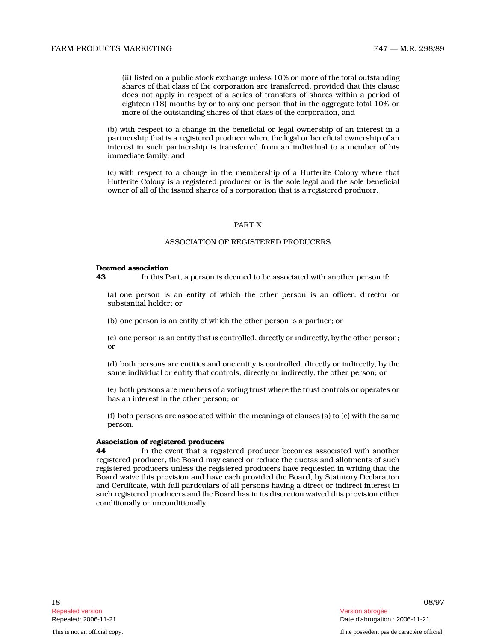(ii) listed on a public stock exchange unless 10% or more of the total outstanding shares of that class of the corporation are transferred, provided that this clause does not apply in respect of a series of transfers of shares within a period of eighteen (18) months by or to any one person that in the aggregate total 10% or more of the outstanding shares of that class of the corporation, and

(b) with respect to a change in the beneficial or legal ownership of an interest in a partnership that is a registered producer where the legal or beneficial ownership of an interest in such partnership is transferred from an individual to a member of his immediate family; and

(c) with respect to a change in the membership of a Hutterite Colony where that Hutterite Colony is a registered producer or is the sole legal and the sole beneficial owner of all of the issued shares of a corporation that is a registered producer.

#### PART X

#### ASSOCIATION OF REGISTERED PRODUCERS

#### Deemed association

43 In this Part, a person is deemed to be associated with another person if:

(a) one person is an entity of which the other person is an officer, director or substantial holder; or

(b) one person is an entity of which the other person is a partner; or

(c) one person is an entity that is controlled, directly or indirectly, by the other person; or

(d) both persons are entities and one entity is controlled, directly or indirectly, by the same individual or entity that controls, directly or indirectly, the other person; or

(e) both persons are members of a voting trust where the trust controls or operates or has an interest in the other person; or

(f) both persons are associated within the meanings of clauses (a) to (e) with the same person.

## Association of registered producers

44 In the event that a registered producer becomes associated with another registered producer, the Board may cancel or reduce the quotas and allotments of such registered producers unless the registered producers have requested in writing that the Board waive this provision and have each provided the Board, by Statutory Declaration and Certificate, with full particulars of all persons having a direct or indirect interest in such registered producers and the Board has in its discretion waived this provision either conditionally or unconditionally.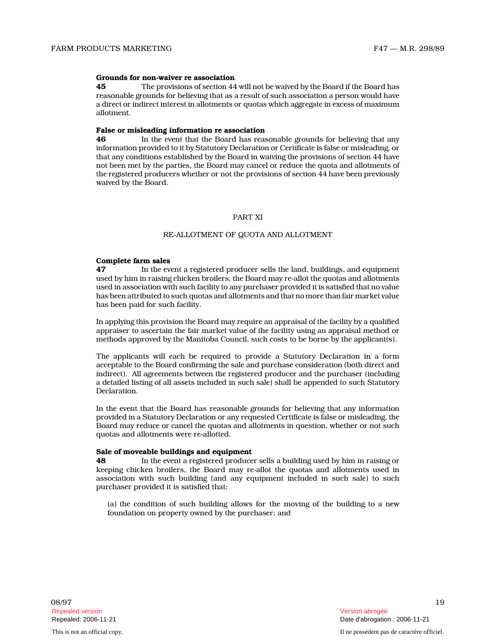## Grounds for non-waiver re association

45 The provisions of section 44 will not be waived by the Board if the Board has reasonable grounds for believing that as a result of such association a person would have a direct or indirect interest in allotments or quotas which aggregate in excess of maximum allotment.

# False or misleading information re association

**46** In the event that the Board has reasonable grounds for believing that any information provided to it by Statutory Declaration or Certificate is false or misleading, or that any conditions established by the Board in waiving the provisions of section 44 have not been met by the parties, the Board may cancel or reduce the quota and allotments of the registered producers whether or not the provisions of section 44 have been previously waived by the Board.

# PART XI

# RE-ALLOTMENT OF QUOTA AND ALLOTMENT

#### Complete farm sales

47 In the event a registered producer sells the land, buildings, and equipment used by him in raising chicken broilers, the Board may re-allot the quotas and allotments used in association with such facility to any purchaser provided it is satisfied that no value has been attributed to such quotas and allotments and that no more than fair market value has been paid for such facility.

In applying this provision the Board may require an appraisal of the facility by a qualified appraiser to ascertain the fair market value of the facility using an appraisal method or methods approved by the Manitoba Council, such costs to be borne by the applicant(s).

The applicants will each be required to provide a Statutory Declaration in a form acceptable to the Board confirming the sale and purchase consideration (both direct and indirect). All agreements between the registered producer and the purchaser (including a detailed listing of all assets included in such sale) shall be appended to such Statutory Declaration.

In the event that the Board has reasonable grounds for believing that any information provided in a Statutory Declaration or any requested Certificate is false or misleading, the Board may reduce or cancel the quotas and allotments in question, whether or not such quotas and allotments were re-allotted.

## Sale of moveable buildings and equipment

48 In the event a registered producer sells a building used by him in raising or keeping chicken broilers, the Board may re-allot the quotas and allotments used in association with such building (and any equipment included in such sale) to such purchaser provided it is satisfied that:

(a) the condition of such building allows for the moving of the building to a new foundation on property owned by the purchaser; and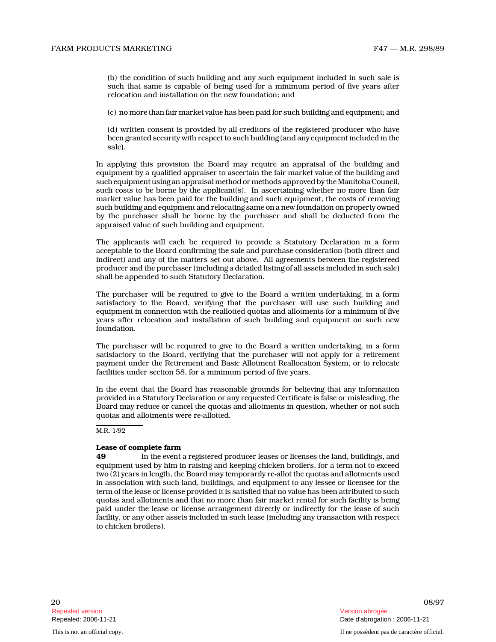(b) the condition of such building and any such equipment included in such sale is such that same is capable of being used for a minimum period of five years after relocation and installation on the new foundation; and

(c) no more than fair market value has been paid for such building and equipment; and

(d) written consent is provided by all creditors of the registered producer who have been granted security with respect to such building (and any equipment included in the sale).

In applying this provision the Board may require an appraisal of the building and equipment by a qualified appraiser to ascertain the fair market value of the building and such equipment using an appraisal method or methods approved by the Manitoba Council, such costs to be borne by the applicant(s). In ascertaining whether no more than fair market value has been paid for the building and such equipment, the costs of removing such building and equipment and relocating same on a new foundation on property owned by the purchaser shall be borne by the purchaser and shall be deducted from the appraised value of such building and equipment.

The applicants will each be required to provide a Statutory Declaration in a form acceptable to the Board confirming the sale and purchase consideration (both direct and indirect) and any of the matters set out above. All agreements between the registereed producer and the purchaser (including a detailed listing of all assets included in such sale) shall be appended to such Statutory Declaration.

The purchaser will be required to give to the Board a written undertaking, in a form satisfactory to the Board, verifying that the purchaser will use such building and equipment in connection with the reallotted quotas and allotments for a minimum of five years after relocation and installation of such building and equipment on such new foundation.

The purchaser will be required to give to the Board a written undertaking, in a form satisfactory to the Board, verifying that the purchaser will not apply for a retirement payment under the Retirement and Basic Allotment Reallocation System, or to relocate facilities under section 58, for a minimum period of five years.

In the event that the Board has reasonable grounds for believing that any information provided in a Statutory Declaration or any requested Certificate is false or misleading, the Board may reduce or cancel the quotas and allotments in question, whether or not such quotas and allotments were re-allotted.

M.R. 1/92

#### Lease of complete farm

49 In the event a registered producer leases or licenses the land, buildings, and equipment used by him in raising and keeping chicken broilers, for a term not to exceed two (2) years in length, the Board may temporarily re-allot the quotas and allotments used in association with such land, buildings, and equipment to any lessee or licensee for the term of the lease or license provided it is satisfied that no value has been attributed to such quotas and allotments and that no more than fair market rental for such facility is being paid under the lease or license arrangement directly or indirectly for the lease of such facility, or any other assets included in such lease (including any transaction with respect to chicken broilers).

This is not an official copy. Il ne possèdent pas de caractère officiel.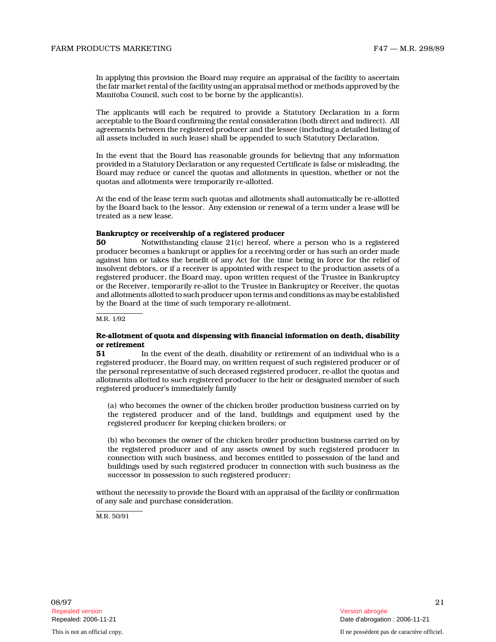In applying this provision the Board may require an appraisal of the facility to ascertain the fair market rental of the facility using an appraisal method or methods approved by the Manitoba Council, such cost to be borne by the applicant(s).

The applicants will each be required to provide a Statutory Declaration in a form acceptable to the Board confirming the rental consideration (both direct and indirect). All agreements between the registered producer and the lessee (including a detailed listing of all assets included in such lease) shall be appended to such Statutory Declaration.

In the event that the Board has reasonable grounds for believing that any information provided in a Statutory Declaration or any requested Certificate is false or misleading, the Board may reduce or cancel the quotas and allotments in question, whether or not the quotas and allotments were temporarily re-allotted.

At the end of the lease term such quotas and allotments shall automatically be re-allotted by the Board back to the lessor. Any extension or renewal of a term under a lease will be treated as a new lease.

#### Bankruptcy or receivership of a registered producer

50 Notwithstanding clause 21(c) hereof, where a person who is a registered producer becomes a bankrupt or applies for a receiving order or has such an order made against him or takes the benefit of any Act for the time being in force for the relief of insolvent debtors, or if a receiver is appointed with respect to the production assets of a registered producer, the Board may, upon written request of the Trustee in Bankruptcy or the Receiver, temporarily re-allot to the Trustee in Bankruptcy or Receiver, the quotas and allotments allotted to such producer upon terms and conditions as may be established by the Board at the time of such temporary re-allotment.

M.R. 1/92

# Re-allotment of quota and dispensing with financial information on death, disability or retirement

51 In the event of the death, disability or retirement of an individual who is a registered producer, the Board may, on written request of such registered producer or of the personal representative of such deceased registered producer, re-allot the quotas and allotments allotted to such registered producer to the heir or designated member of such registered producer's immediately family

(a) who becomes the owner of the chicken broiler production business carried on by the registered producer and of the land, buildings and equipment used by the registered producer for keeping chicken broilers; o r

(b) who becomes the owner of the chicken broiler production business carried on by the registered producer and of any assets owned by such registered producer in connection with such business, and becomes entitled to possession of the land and buildings used by such registered producer in connection with such business as the successor in possession to such registered producer ;

without the necessity to provide the Board with an appraisal of the facility or confirmation of any sale and purchase consideration.

M.R. 50/91

 $08/97$  21 Repealed version abrogée et al. Alian abrogée et al. Alian abrogée et al. Alian abrogée et al. Alian abrogée e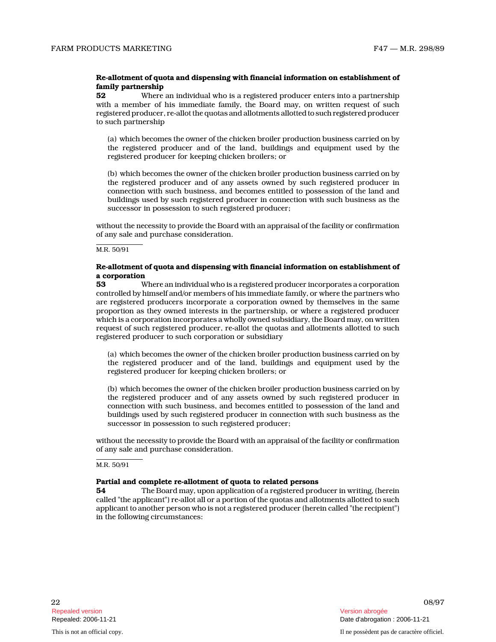# Re-allotment of quota and dispensing with financial information on establishment of family partnership

52 Where an individual who is a registered producer enters into a partnership with a member of his immediate family, the Board may, on written request of such registered producer, re-allot the quotas and allotments allotted to such registered producer to such partnership

(a) which becomes the owner of the chicken broiler production business carried on by the registered producer and of the land, buildings and equipment used by the registered producer for keeping chicken broilers; o r

(b) which becomes the owner of the chicken broiler production business carried on by the registered producer and of any assets owned by such registered producer in connection with such business, and becomes entitled to possession of the land and buildings used by such registered producer in connection with such business as the successor in possession to such registered producer ;

without the necessity to provide the Board with an appraisal of the facility or confirmation of any sale and purchase consideration.

# M.R. 50/91

# Re-allotment of quota and dispensing with financial information on establishment of a corporation

53 Where an individual who is a registered producer incorporates a corporation controlled by himself and/or members of his immediate family, or where the partners who are registered producers incorporate a corporation owned by themselves in the same proportion as they owned interests in the partnership, or where a registered producer which is a corporation incorporates a wholly owned subsidiary, the Board may, on written request of such registered producer, re-allot the quotas and allotments allotted to such registered producer to such corporation or subsidiary

(a) which becomes the owner of the chicken broiler production business carried on by the registered producer and of the land, buildings and equipment used by the registered producer for keeping chicken broilers; o r

(b) which becomes the owner of the chicken broiler production business carried on by the registered producer and of any assets owned by such registered producer in connection with such business, and becomes entitled to possession of the land and buildings used by such registered producer in connection with such business as the successor in possession to such registered producer ;

without the necessity to provide the Board with an appraisal of the facility or confirmation of any sale and purchase consideration.

#### M.R. 50/91

## Partial and complete re-allotment of quota to related persons

54 The Board may, upon application of a registered producer in writing, (herein called "the applicant") re-allot all or a portion of the quotas and allotments allotted to such applicant to another person who is not a registered producer (herein called "the recipient") in the following circumstances: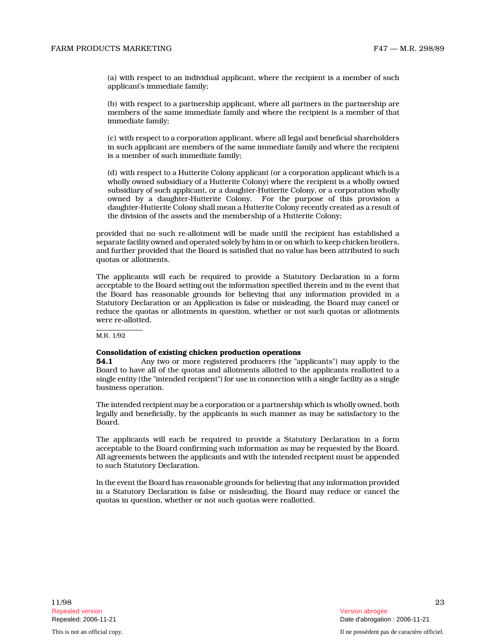(a) with respect to an individual applicant, where the recipient is a member of such applicant's immediate family;

(b) with respect to a partnership applicant, where all partners in the partnership are members of the same immediate family and where the recipient is a member of that immediate family;

(c) with respect to a corporation applicant, where all legal and beneficial shareholders in such applicant are members of the same immediate family and where the recipient is a member of such immediate family;

(d) with respect to a Hutterite Colony applicant (or a corporation applicant which is a wholly owned subsidiary of a Hutterite Colony) where the recipient is a wholly owned subsidiary of such applicant, or a daughter-Hutterite Colony, or a corporation wholly owned by a daughter-Hutterite Colony. For the purpose of this provision a daughter-Hutterite Colony shall mean a Hutterite Colony recently created as a result of the division of the assets and the membership of a Hutterite Colony;

provided that no such re-allotment will be made until the recipient has established a separate facility owned and operated solely by him in or on which to keep chicken broilers, and further provided that the Board is satisfied that no value has been attributed to such quotas or allotments.

The applicants will each be required to provide a Statutory Declaration in a form acceptable to the Board setting out the information specified therein and in the event that the Board has reasonable grounds for believing that any information provided in a Statutory Declaration or an Application is false or misleading, the Board may cancel or reduce the quotas or allotments in question, whether or not such quotas or allotments were re-allotted.

M.R. 1/92

## Consolidation of existing chicken production operations

54.1 Any two or more registered producers (the "applicants") may apply to the Board to have all of the quotas and allotments allotted to the applicants reallotted to a single entity (the "intended recipient") for use in connection with a single facility as a single business operation.

The intended recipient may be a corporation or a partnership which is wholly owned, both legally and beneficially, by the applicants in such manner as may be satisfactory to the Board.

The applicants will each be required to provide a Statutory Declaration in a form acceptable to the Board confirming such information as may be requested by the Board. All agreements between the applicants and with the intended recipient must be appended to such Statutory Declaration.

In the event the Board has reasonable grounds for believing that any information provided in a Statutory Declaration is false or misleading, the Board may reduce or cancel the quotas in question, whether or not such quotas were reallotted.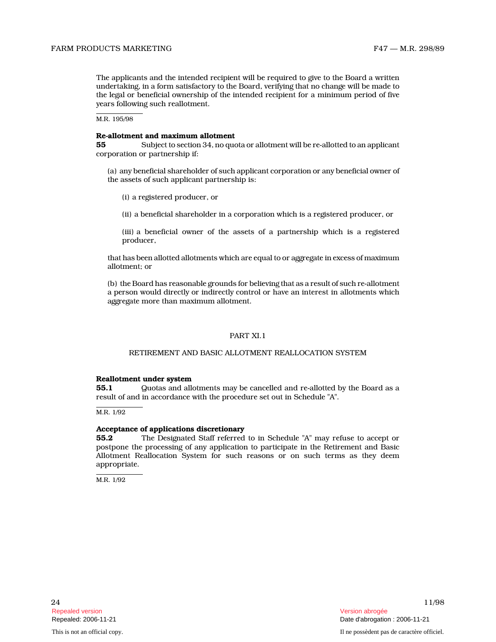The applicants and the intended recipient will be required to give to the Board a written undertaking, in a form satisfactory to the Board, verifying that no change will be made to the legal or beneficial ownership of the intended recipient for a minimum period of five years following such reallotment.

M.R. 195/98

### Re-allotment and maximum allotment

55 Subject to section 34, no quota or allotment will be re-allotted to an applicant corporation or partnership if:

(a) any beneficial shareholder of such applicant corporation or any beneficial owner of the assets of such applicant partnership is:

(i) a registered producer, or

(ii) a beneficial shareholder in a corporation which is a registered producer, or

(iii) a beneficial owner of the assets of a partnership which is a registered producer,

that has been allotted allotments which are equal to or aggregate in excess of maximum allotment; or

(b) the Board has reasonable grounds for believing that as a result of such re-allotment a person would directly or indirectly control or have an interest in allotments which aggregate more than maximum allotment.

# PART XI.1

# RETIREMENT AND BASIC ALLOTMENT REALLOCATION SYSTEM

#### Reallotment under system

55.1 Quotas and allotments may be cancelled and re-allotted by the Board as a result of and in accordance with the procedure set out in Schedule "A".

M.R. 1/92

# Acceptance of applications discretionary

55.2 The Designated Staff referred to in Schedule "A" may refuse to accept or postpone the processing of any application to participate in the Retirement and Basic Allotment Reallocation System for such reasons or on such terms as they deem appropriate.

M.R. 1/92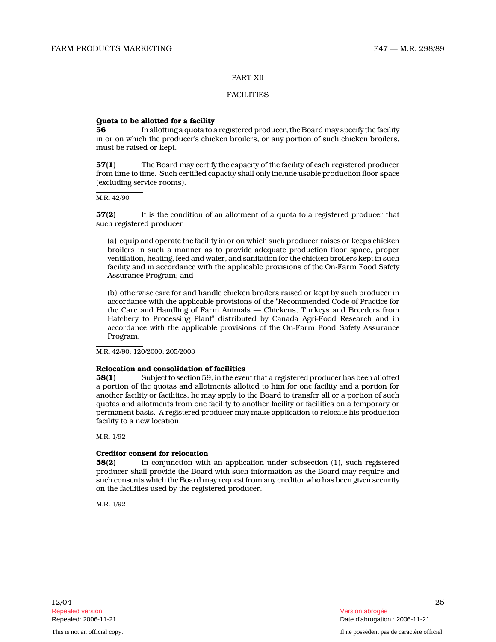#### PART XII

# **FACILITIES**

# Quota to be allotted for a facility

56 In allotting a quota to a registered producer, the Board may specify the facility in or on which the producer's chicken broilers, or any portion of such chicken broilers, must be raised or kept.

57(1) The Board may certify the capacity of the facility of each registered producer from time to time. Such certified capacity shall only include usable production floor space (excluding service rooms).

M.R. 42/90

57(2) It is the condition of an allotment of a quota to a registered producer that such registered producer

(a) equip and operate the facility in or on which such producer raises or keeps chicken broilers in such a manner as to provide adequate production floor space, proper ventilation, heating, feed and water, and sanitation for the chicken broilers kept in such facility and in accordance with the applicable provisions of the On-Farm Food Safety Assurance Program; and

(b) otherwise care for and handle chicken broilers raised or kept by such producer in accordance with the applicable provisions of the "Recommended Code of Practice for the Care and Handling of Farm Animals — Chickens, Turkeys and Breeders from Hatchery to Processing Plant" distributed by Canada Agri-Food Research and in accordance with the applicable provisions of the On-Farm Food Safety Assurance Program.

M.R. 42/90; 120/2000; 205/2003

#### Relocation and consolidation of facilities

58(1) Subject to section 59, in the event that a registered producer has been allotted a portion of the quotas and allotments allotted to him for one facility and a portion for another facility or facilities, he may apply to the Board to transfer all or a portion of such quotas and allotments from one facility to another facility or facilities on a temporary or permanent basis. A registered producer may make application to relocate his production facility to a new location.

M.R. 1/92

#### Creditor consent for relocation

58(2) In conjunction with an application under subsection (1), such registered producer shall provide the Board with such information as the Board may require and such consents which the Board may request from any creditor who has been given security on the facilities used by the registered producer.

M.R. 1/92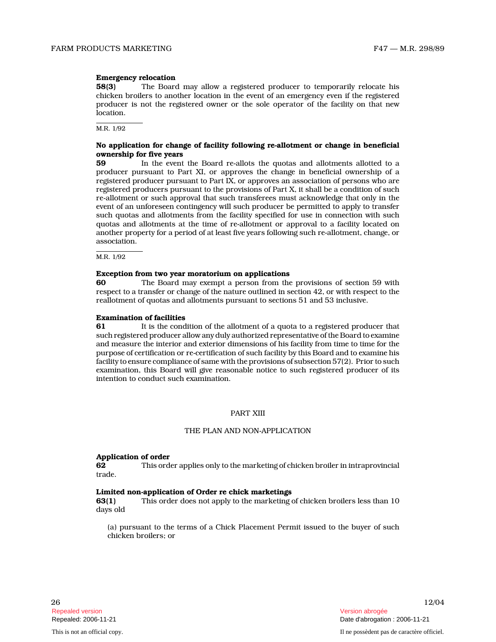# Emergency relocation

58(3) The Board may allow a registered producer to temporarily relocate his chicken broilers to another location in the event of an emergency even if the registered producer is not the registered owner or the sole operator of the facility on that new location.

M.R. 1/92

# No application for change of facility following re-allotment or change in beneficial ownership for five years

59 In the event the Board re-allots the quotas and allotments allotted to a producer pursuant to Part XI, or approves the change in beneficial ownership of a registered producer pursuant to Part IX, or approves an association of persons who are registered producers pursuant to the provisions of Part X, it shall be a condition of such re-allotment or such approval that such transferees must acknowledge that only in the event of an unforeseen contingency will such producer be permitted to apply to transfer such quotas and allotments from the facility specified for use in connection with such quotas and allotments at the time of re-allotment or approval to a facility located on another property for a period of at least five years following such re-allotment, change, or association.

M.R. 1/92

#### Exception from two year moratorium on applications

The Board may exempt a person from the provisions of section 59 with respect to a transfer or change of the nature outlined in section 42, or with respect to the reallotment of quotas and allotments pursuant to sections 51 and 53 inclusive.

#### Examination of facilities

61 It is the condition of the allotment of a quota to a registered producer that such registered producer allow any duly authorized representative of the Board to examine and measure the interior and exterior dimensions of his facility from time to time for the purpose of certification or re-certification of such facility by this Board and to examine his facility to ensure compliance of same with the provisions of subsection 57(2). Prior to such examination, this Board will give reasonable notice to such registered producer of its intention to conduct such examination.

# PART XIII

#### THE PLAN AND NON-APPLICATION

# **Application of order**<br>**62** This ord

This order applies only to the marketing of chicken broiler in intraprovincial trade.

#### Limited non-application of Order re chick marketing s

63(1) This order does not apply to the marketing of chicken broilers less than 10 days old

(a) pursuant to the terms of a Chick Placement Permit issued to the buyer of such chicken broilers; or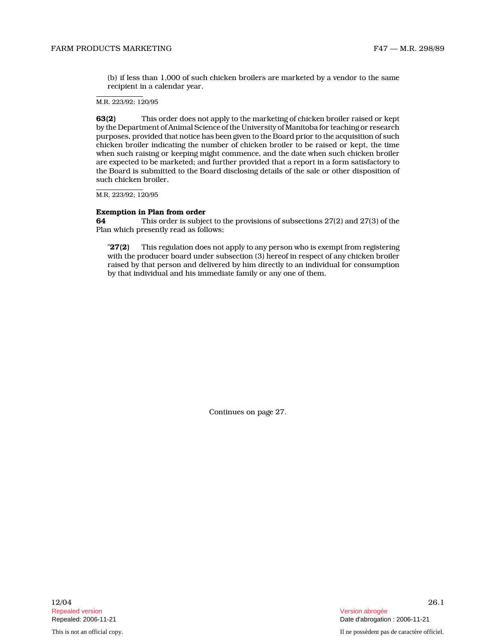(b) if less than 1,000 of such chicken broilers are marketed by a vendor to the same recipient in a calendar year.

#### M.R. 223/92; 120/95

63(2) This order does not apply to the marketing of chicken broiler raised or kept by the Department of Animal Science of the University of Manitoba for teaching or research purposes, provided that notice has been given to the Board prior to the acquisition of such chicken broiler indicating the number of chicken broiler to be raised or kept, the time when such raising or keeping might commence, and the date when such chicken broiler are expected to be marketed; and further provided that a report in a form satisfactory to the Board is submitted to the Board disclosing details of the sale or other disposition of such chicken broiler.

M.R. 223/92; 120/95

# Exemption in Plan from order

64 This order is subject to the provisions of subsections 27(2) and 27(3) of the Plan which presently read as follows;

"27(2) This regulation does not apply to any person who is exempt from registering with the producer board under subsection (3) hereof in respect of any chicken broiler raised by that person and delivered by him directly to an individual for consumption by that individual and his immediate family or any one of them.

Continues on page 27.

Repealed version Version abrogée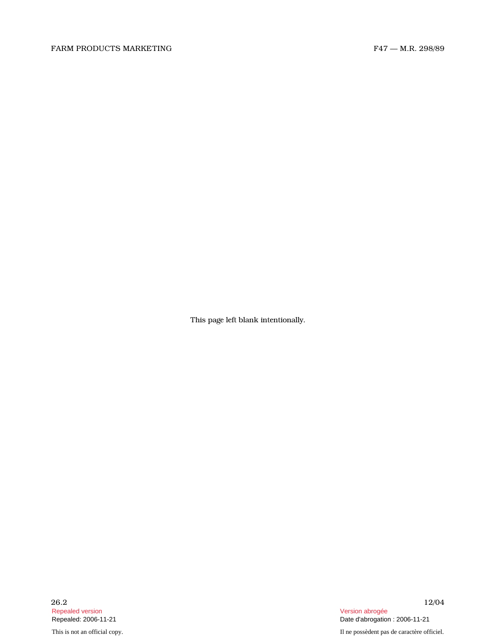This page left blank intentionally.

26.2 12/04 Repealed version abrogée en an anti-service d'altres de la commune de la commune de la version abrogée d'abrogation de la version abrogée d'abrogation de la version abrogée d'abrogation de la version abrogée d'abrogation d

Date d'abrogation : 2006-11-21 This is not an official copy. Il ne possèdent pas de caractère officiel.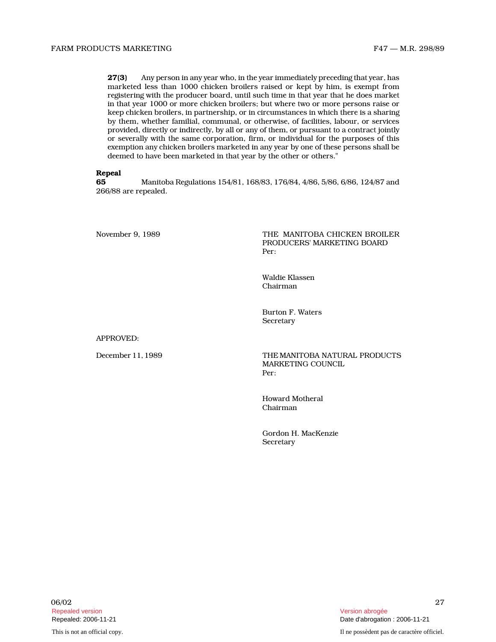27(3) Any person in any year who, in the year immediately preceding that year, has marketed less than 1000 chicken broilers raised or kept by him, is exempt from registering with the producer board, until such time in that year that he does market in that year 1000 or more chicken broilers; but where two or more persons raise or keep chicken broilers, in partnership, or in circumstances in which there is a sharing by them, whether familial, communal, or otherwise, of facilities, labour, or services provided, directly or indirectly, by all or any of them, or pursuant to a contract jointly or severally with the same corporation, firm, or individual for the purposes of this exemption any chicken broilers marketed in any year by one of these persons shall be deemed to have been marketed in that year by the other or others."

# Repeal<br>65

65 Manitoba Regulations 154/81, 168/83, 176/84, 4/86, 5/86, 6/86, 124/87 and 266/88 are repealed.

November 9, 1989 THE MANITOBA CHICKEN BROILER PRODUCERS' MARKETING BOARD Per:

> Waldie Klassen Chairman

Burton F. Waters **Secretary** 

APPROVED:

December 11, 1989 THE MANITOBA NATURAL PRODUCTS MARKETING COUNCIL Per:

> Howard Motheral Chairman

Gordon H. MacKenzie Secretary

 $06/02$  and  $27$ Repealed version Version abrogée

Date d'abrogation : 2006-11-21 This is not an official copy. Il ne possèdent pas de caractère officiel.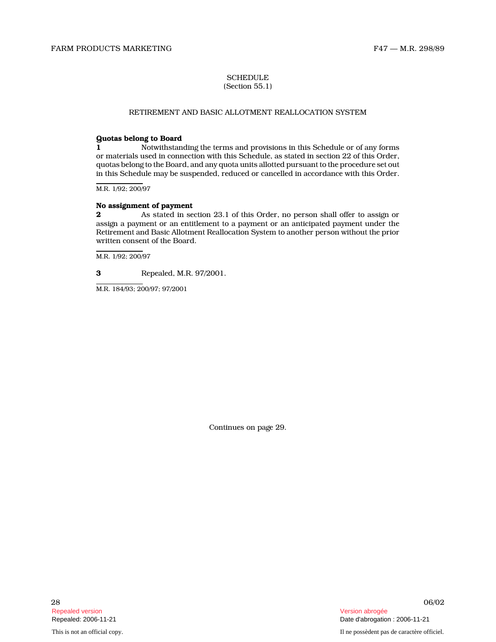# **SCHEDULE**

# (Section 55.1)

# RETIREMENT AND BASIC ALLOTMENT REALLOCATION SYSTEM

# Quotas belong to Board

1 Notwithstanding the terms and provisions in this Schedule or of any forms or materials used in connection with this Schedule, as stated in section 22 of this Order, quotas belong to the Board, and any quota units allotted pursuant to the procedure set out in this Schedule may be suspended, reduced or cancelled in accordance with this Order.

M.R. 1/92; 200/97

# No assignment of payment

2 As stated in section 23.1 of this Order, no person shall offer to assign or assign a payment or an entitlement to a payment or an anticipated payment under the Retirement and Basic Allotment Reallocation System to another person without the prior written consent of the Board.

M.R. 1/92: 200/97

3 Repealed, M.R. 97/2001.

M.R. 184/93; 200/97; 97/2001

Continues on page 29.

Repealed version Version abrogée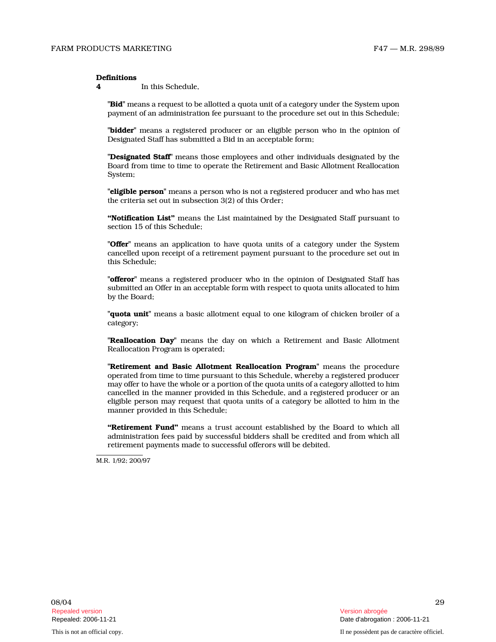#### Definitions

4 In this Schedule,

"Bid" means a request to be allotted a quota unit of a category under the System upon payment of an administration fee pursuant to the procedure set out in this Schedule;

"bidder" means a registered producer or an eligible person who in the opinion of Designated Staff has submitted a Bid in an acceptable form;

"Designated Staff" means those employees and other individuals designated by the Board from time to time to operate the Retirement and Basic Allotment Reallocation System;

"eligible person" means a person who is not a registered producer and who has met the criteria set out in subsection 3(2) of this Order;

"Notification List" means the List maintained by the Designated Staff pursuant to section 15 of this Schedule;

"**Offer**" means an application to have quota units of a category under the System cancelled upon receipt of a retirement payment pursuant to the procedure set out in this Schedule;

"**offeror**" means a registered producer who in the opinion of Designated Staff has submitted an Offer in an acceptable form with respect to quota units allocated to him by the Board;

"quota unit" means a basic allotment equal to one kilogram of chicken broiler of a category;

"Reallocation Day" means the day on which a Retirement and Basic Allotment Reallocation Program is operated;

"Retirement and Basic Allotment Reallocation Program" means the procedure operated from time to time pursuant to this Schedule, whereby a registered producer may offer to have the whole or a portion of the quota units of a category allotted to him cancelled in the manner provided in this Schedule, and a registered producer or an eligible person may request that quota units of a category be allotted to him in the manner provided in this Schedule;

"Retirement Fund" means a trust account established by the Board to which all administration fees paid by successful bidders shall be credited and from which all retirement payments made to successful offerors will be debited.

M.R. 1/92; 200/97

This is not an official copy. Il ne possèdent pas de caractère officiel.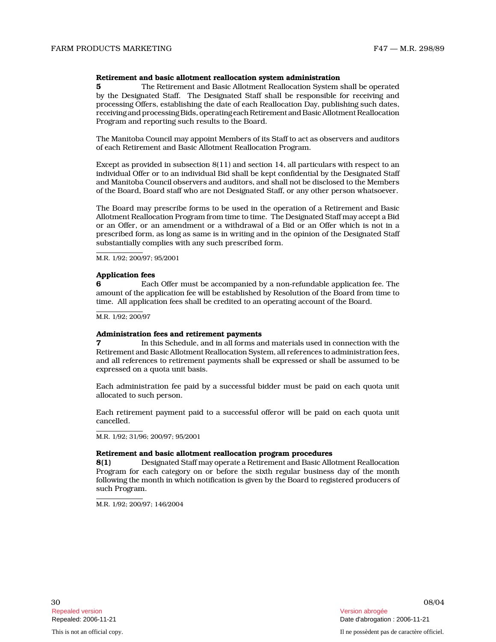## Retirement and basic allotment reallocation system administration

5 The Retirement and Basic Allotment Reallocation System shall be operated by the Designated Staff. The Designated Staff shall be responsible for receiving and processing Offers, establishing the date of each Reallocation Day, publishing such dates, receiving and processing Bids, operating each Retirement and Basic Allotment Reallocation Program and reporting such results to the Board.

The Manitoba Council may appoint Members of its Staff to act as observers and auditors of each Retirement and Basic Allotment Reallocation Program.

Except as provided in subsection 8(11) and section 14, all particulars with respect to an individual Offer or to an individual Bid shall be kept confidential by the Designated Staff and Manitoba Council observers and auditors, and shall not be disclosed to the Members of the Board, Board staff who are not Designated Staff, or any other person whatsoever.

The Board may prescribe forms to be used in the operation of a Retirement and Basic Allotment Reallocation Program from time to time. The Designated Staff may accept a Bid or an Offer, or an amendment or a withdrawal of a Bid or an Offer which is not in a prescribed form, as long as same is in writing and in the opinion of the Designated Staff substantially complies with any such prescribed form.

M.R. 1/92; 200/97; 95/2001

#### Application fees

6 Each Offer must be accompanied by a non-refundable application fee. The amount of the application fee will be established by Resolution of the Board from time to time. All application fees shall be credited to an operating account of the Board.

M.R. 1/92; 200/97

#### Administration fees and retirement payments

In this Schedule, and in all forms and materials used in connection with the Retirement and Basic Allotment Reallocation System, all references to administration fees, and all references to retirement payments shall be expressed or shall be assumed to be expressed on a quota unit basis.

Each administration fee paid by a successful bidder must be paid on each quota unit allocated to such person.

Each retirement payment paid to a successful offeror will be paid on each quota unit cancelled.

M.R. 1/92; 31/96; 200/97; 95/2001

# Retirement and basic allotment reallocation program procedures

8(1) Designated Staff may operate a Retirement and Basic Allotment Reallocation Program for each category on or before the sixth regular business day of the month following the month in which notification is given by the Board to registered producers of such Program.

M.R. 1/92; 200/97; 146/2004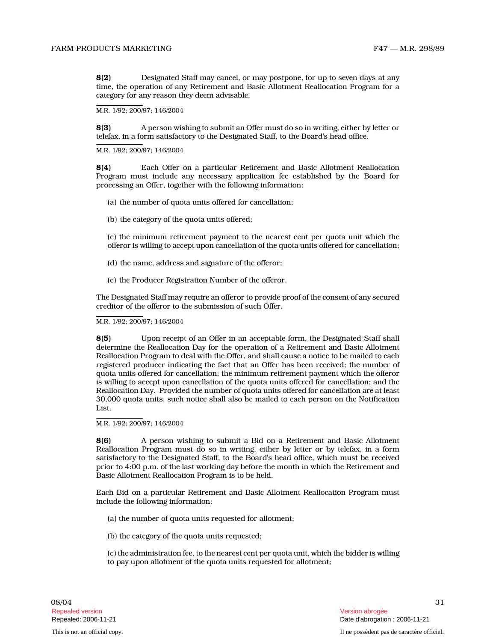8(2) Designated Staff may cancel, or may postpone, for up to seven days at any time, the operation of any Retirement and Basic Allotment Reallocation Program for a category for any reason they deem advisable.

M.R. 1/92; 200/97; 146/2004

8(3) A person wishing to submit an Offer must do so in writing, either by letter or telefax, in a form satisfactory to the Designated Staff, to the Board's head office.

M.R. 1/92; 200/97; 146/2004

8(4) Each Offer on a particular Retirement and Basic Allotment Reallocation Program must include any necessary application fee established by the Board for processing an Offer, together with the following information:

- (a) the number of quota units offered for cancellation;
- (b) the category of the quota units offered;

(c) the minimum retirement payment to the nearest cent per quota unit which the offeror is willing to accept upon cancellation of the quota units offered for cancellation;

- (d) the name, address and signature of the offeror;
- (e) the Producer Registration Number of the offeror.

The Designated Staff may require an offeror to provide proof of the consent of any secured creditor of the offeror to the submission of such Offer.

8(5) Upon receipt of an Offer in an acceptable form, the Designated Staff shall determine the Reallocation Day for the operation of a Retirement and Basic Allotment Reallocation Program to deal with the Offer, and shall cause a notice to be mailed to each registered producer indicating the fact that an Offer has been received; the number of quota units offered for cancellation; the minimum retirement payment which the offeror is willing to accept upon cancellation of the quota units offered for cancellation; and the Reallocation Day. Provided the number of quota units offered for cancellation are at least 30,000 quota units, such notice shall also be mailed to each person on the Notification List.

M.R. 1/92; 200/97; 146/2004

8(6) A person wishing to submit a Bid on a Retirement and Basic Allotment Reallocation Program must do so in writing, either by letter or by telefax, in a form satisfactory to the Designated Staff, to the Board's head office, which must be received prior to 4:00 p.m. of the last working day before the month in which the Retirement and Basic Allotment Reallocation Program is to be held.

Each Bid on a particular Retirement and Basic Allotment Reallocation Program must include the following information:

(a) the number of quota units requested for allotment;

(b) the category of the quota units requested;

(c) the administration fee, to the nearest cent per quota unit, which the bidder is willing to pay upon allotment of the quota units requested for allotment;

M.R. 1/92; 200/97; 146/2004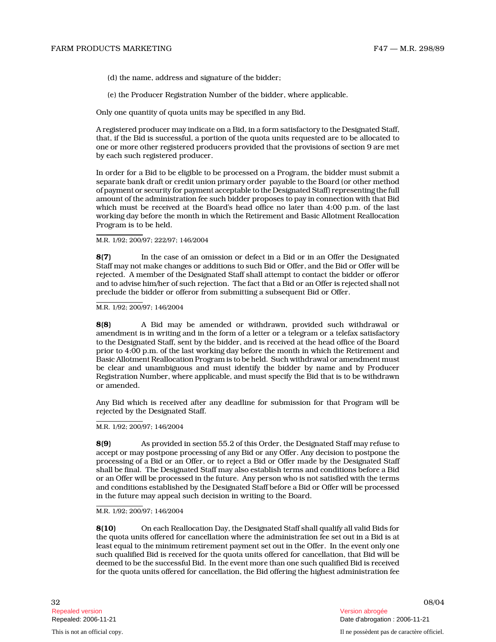- (d) the name, address and signature of the bidder;
- (e) the Producer Registration Number of the bidder, where applicable.

Only one quantity of quota units may be specified in any Bid.

A registered producer may indicate on a Bid, in a form satisfactory to the Designated Staff, that, if the Bid is successful, a portion of the quota units requested are to be allocated to one or more other registered producers provided that the provisions of section 9 are met by each such registered producer.

In order for a Bid to be eligible to be processed on a Program, the bidder must submit a separate bank draft or credit union primary order payable to the Board (or other method of payment or security for payment acceptable to the Designated Staff) representing the full amount of the administration fee such bidder proposes to pay in connection with that Bid which must be received at the Board's head office no later than 4:00 p.m. of the last working day before the month in which the Retirement and Basic Allotment Reallocation Program is to be held.

M.R. 1/92; 200/97; 222/97; 146/2004

8(7) In the case of an omission or defect in a Bid or in an Offer the Designated Staff may not make changes or additions to such Bid or Offer, and the Bid or Offer will be rejected. A member of the Designated Staff shall attempt to contact the bidder or offeror and to advise him/her of such rejection. The fact that a Bid or an Offer is rejected shall not preclude the bidder or offeror from submitting a subsequent Bid or Offer.

M.R. 1/92; 200/97; 146/2004

8(8) A Bid may be amended or withdrawn, provided such withdrawal or amendment is in writing and in the form of a letter or a telegram or a telefax satisfactory to the Designated Staff, sent by the bidder, and is received at the head office of the Board prior to 4:00 p.m. of the last working day before the month in which the Retirement and Basic Allotment Reallocation Program is to be held. Such withdrawal or amendment must be clear and unambiguous and must identify the bidder by name and by Producer Registration Number, where applicable, and must specify the Bid that is to be withdrawn or amended.

Any Bid which is received after any deadline for submission for that Program will be rejected by the Designated Staff.

M.R. 1/92; 200/97; 146/2004

8(9) As provided in section 55.2 of this Order, the Designated Staff may refuse to accept or may postpone processing of any Bid or any Offer. Any decision to postpone the processing of a Bid or an Offer, or to reject a Bid or Offer made by the Designated Staff shall be final. The Designated Staff may also establish terms and conditions before a Bid or an Offer will be processed in the future. Any person who is not satisfied with the terms and conditions established by the Designated Staff before a Bid or Offer will be processed in the future may appeal such decision in writing to the Board.

M.R. 1/92; 200/97; 146/2004

8(10) On each Reallocation Day, the Designated Staff shall qualify all valid Bids for the quota units offered for cancellation where the administration fee set out in a Bid is at least equal to the minimum retirement payment set out in the Offer. In the event only one such qualified Bid is received for the quota units offered for cancellation, that Bid will be deemed to be the successful Bid. In the event more than one such qualified Bid is received for the quota units offered for cancellation, the Bid offering the highest administration fee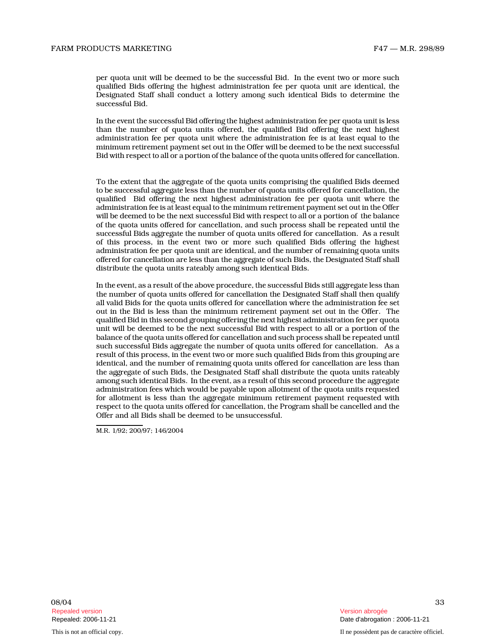per quota unit will be deemed to be the successful Bid. In the event two or more such qualified Bids offering the highest administration fee per quota unit are identical, the Designated Staff shall conduct a lottery among such identical Bids to determine the successful Bid.

In the event the successful Bid offering the highest administration fee per quota unit is less than the number of quota units offered, the qualified Bid offering the next highest administration fee per quota unit where the administration fee is at least equal to the minimum retirement payment set out in the Offer will be deemed to be the next successful Bid with respect to all or a portion of the balance of the quota units offered for cancellation.

To the extent that the aggregate of the quota units comprising the qualified Bids deemed to be successful aggregate less than the number of quota units offered for cancellation, the qualified Bid offering the next highest administration fee per quota unit where the administration fee is at least equal to the minimum retirement payment set out in the Offer will be deemed to be the next successful Bid with respect to all or a portion of the balance of the quota units offered for cancellation, and such process shall be repeated until the successful Bids aggregate the number of quota units offered for cancellation. As a result of this process, in the event two or more such qualified Bids offering the highest administration fee per quota unit are identical, and the number of remaining quota units offered for cancellation are less than the aggregate of such Bids, the Designated Staff shall distribute the quota units rateably among such identical Bids.

In the event, as a result of the above procedure, the successful Bids still aggregate less than the number of quota units offered for cancellation the Designated Staff shall then qualify all valid Bids for the quota units offered for cancellation where the administration fee set out in the Bid is less than the minimum retirement payment set out in the Offer. The qualified Bid in this second grouping offering the next highest administration fee per quota unit will be deemed to be the next successful Bid with respect to all or a portion of the balance of the quota units offered for cancellation and such process shall be repeated until such successful Bids aggregate the number of quota units offered for cancellation. As a result of this process, in the event two or more such qualified Bids from this grouping are identical, and the number of remaining quota units offered for cancellation are less than the aggregate of such Bids, the Designated Staff shall distribute the quota units rateably among such identical Bids. In the event, as a result of this second procedure the aggregate administration fees which would be payable upon allotment of the quota units requested for allotment is less than the aggregate minimum retirement payment requested with respect to the quota units offered for cancellation, the Program shall be cancelled and the Offer and all Bids shall be deemed to be unsuccessful.

M.R. 1/92; 200/97; 146/2004

 $08/04$  33 Repealed version abrogée et al. Alian abrogée et al. Alian abrogée et al. Alian abrogée et al. Alian abrogée e

This is not an official copy. Il ne possèdent pas de caractère officiel.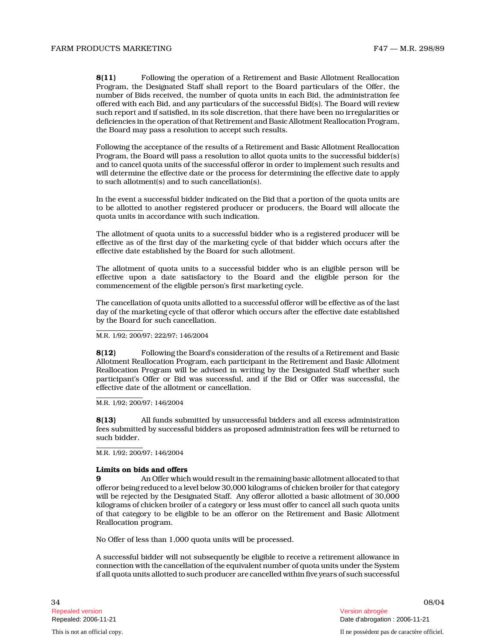8(11) Following the operation of a Retirement and Basic Allotment Reallocation Program, the Designated Staff shall report to the Board particulars of the Offer, the number of Bids received, the number of quota units in each Bid, the administration fee offered with each Bid, and any particulars of the successful Bid(s). The Board will review such report and if satisfied, in its sole discretion, that there have been no irregularities or deficiencies in the operation of that Retirement and Basic Allotment Reallocation Program, the Board may pass a resolution to accept such results.

Following the acceptance of the results of a Retirement and Basic Allotment Reallocation Program, the Board will pass a resolution to allot quota units to the successful bidder(s) and to cancel quota units of the successful offeror in order to implement such results and will determine the effective date or the process for determining the effective date to apply to such allotment(s) and to such cancellation(s).

In the event a successful bidder indicated on the Bid that a portion of the quota units are to be allotted to another registered producer or producers, the Board will allocate the quota units in accordance with such indication.

The allotment of quota units to a successful bidder who is a registered producer will be effective as of the first day of the marketing cycle of that bidder which occurs after the effective date established by the Board for such allotment.

The allotment of quota units to a successful bidder who is an eligible person will be effective upon a date satisfactory to the Board and the eligible person for the commencement of the eligible person's first marketing cycle.

The cancellation of quota units allotted to a successful offeror will be effective as of the last day of the marketing cycle of that offeror which occurs after the effective date established by the Board for such cancellation.

M.R. 1/92; 200/97; 222/97; 146/2004

8(12) Following the Board's consideration of the results of a Retirement and Basic Allotment Reallocation Program, each participant in the Retirement and Basic Allotment Reallocation Program will be advised in writing by the Designated Staff whether such participant's Offer or Bid was successful, and if the Bid or Offer was successful, the effective date of the allotment or cancellation.

M.R. 1/92; 200/97; 146/2004

8(13) All funds submitted by unsuccessful bidders and all excess administration fees submitted by successful bidders as proposed administration fees will be returned to such bidder.

M.R. 1/92; 200/97; 146/2004

#### Limits on bids and offers

9 An Offer which would result in the remaining basic allotment allocated to that offeror being reduced to a level below 30,000 kilograms of chicken broiler for that category will be rejected by the Designated Staff. Any offeror allotted a basic allotment of 30,000 kilograms of chicken broiler of a category or less must offer to cancel all such quota units of that category to be eligible to be an offeror on the Retirement and Basic Allotment Reallocation program.

No Offer of less than 1,000 quota units will be processed.

A successful bidder will not subsequently be eligible to receive a retirement allowance in connection with the cancellation of the equivalent number of quota units under the System if all quota units allotted to such producer are cancelled within five years of such successful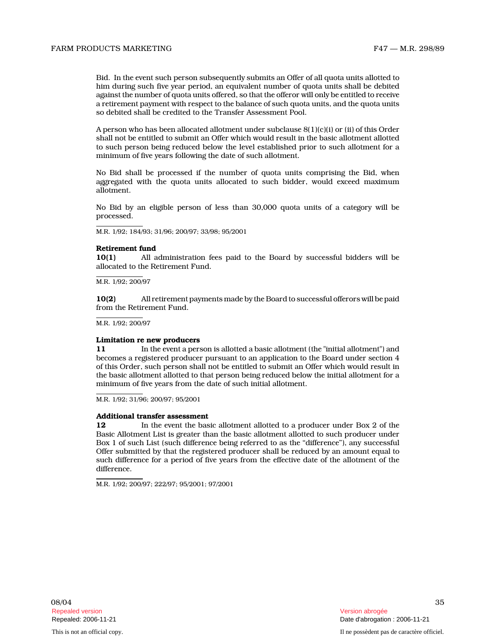Bid. In the event such person subsequently submits an Offer of all quota units allotted to him during such five year period, an equivalent number of quota units shall be debited against the number of quota units offered, so that the offeror will only be entitled to receive a retirement payment with respect to the balance of such quota units, and the quota units so debited shall be credited to the Transfer Assessment Pool.

A person who has been allocated allotment under subclause 8(1)(c)(i) or (ii) of this Order shall not be entitled to submit an Offer which would result in the basic allotment allotted to such person being reduced below the level established prior to such allotment for a minimum of five years following the date of such allotment.

No Bid shall be processed if the number of quota units comprising the Bid, when aggregated with the quota units allocated to such bidder, would exceed maximum allotment.

No Bid by an eligible person of less than 30,000 quota units of a category will be processed.

M.R. 1/92; 184/93; 31/96; 200/97; 33/98; 95/2001

#### Retirement fund

10(1) All administration fees paid to the Board by successful bidders will be allocated to the Retirement Fund.

 $M.R. 1/92: 200/97$ 

10(2) All retirement payments made by the Board to successful offerors will be paid from the Retirement Fund.

M.R. 1/92; 200/97

# Limitation re new producers

11 In the event a person is allotted a basic allotment (the "initial allotment") and becomes a registered producer pursuant to an application to the Board under section 4 of this Order, such person shall not be entitled to submit an Offer which would result in the basic allotment allotted to that person being reduced below the initial allotment for a minimum of five years from the date of such initial allotment.

M.R. 1/92; 31/96; 200/97; 95/2001

#### Additional transfer assessment

12 In the event the basic allotment allotted to a producer under Box 2 of the Basic Allotment List is greater than the basic allotment allotted to such producer under Box 1 of such List (such difference being referred to as the "difference"), any successful Offer submitted by that the registered producer shall be reduced by an amount equal to such difference for a period of five years from the effective date of the allotment of the difference.

M.R. 1/92; 200/97; 222/97; 95/2001; 97/2001